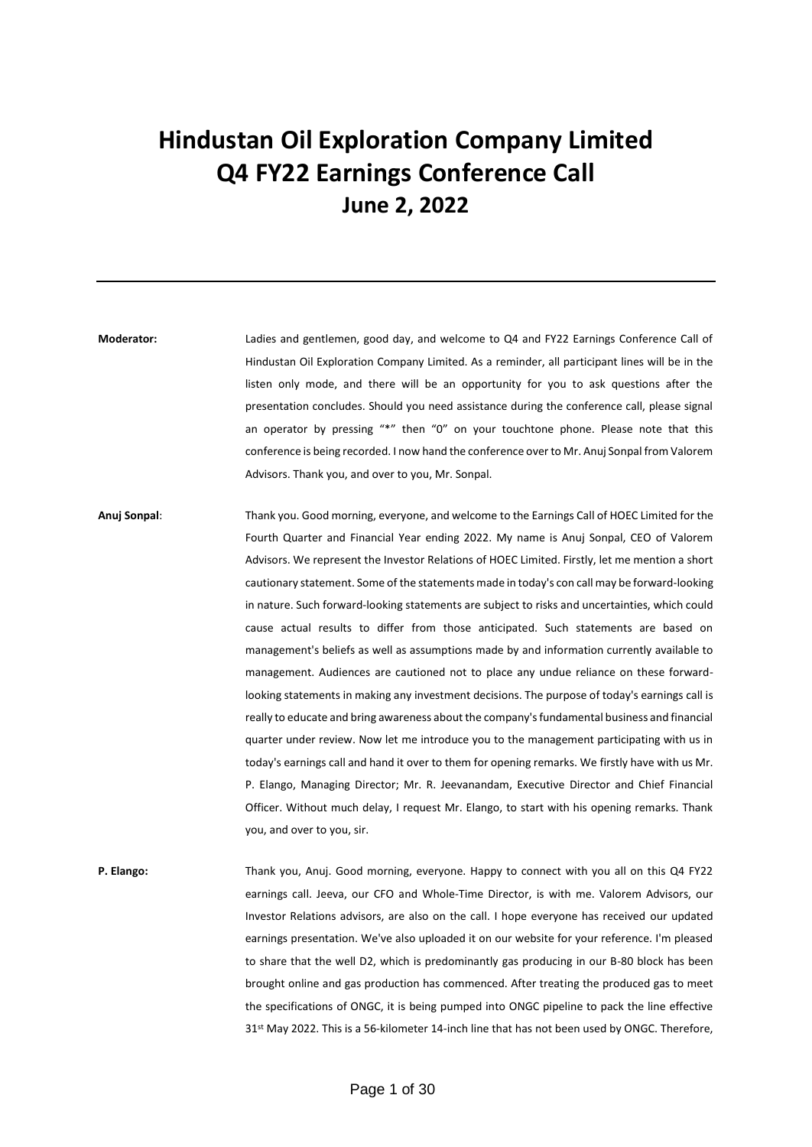## **Hindustan Oil Exploration Company Limited Q4 FY22 Earnings Conference Call June 2, 2022**

**Moderator:** Ladies and gentlemen, good day, and welcome to Q4 and FY22 Earnings Conference Call of Hindustan Oil Exploration Company Limited. As a reminder, all participant lines will be in the listen only mode, and there will be an opportunity for you to ask questions after the presentation concludes. Should you need assistance during the conference call, please signal an operator by pressing "\*" then "0" on your touchtone phone. Please note that this conference is being recorded. I now hand the conference over to Mr. Anuj Sonpal from Valorem Advisors. Thank you, and over to you, Mr. Sonpal.

**Anuj Sonpal**: Thank you. Good morning, everyone, and welcome to the Earnings Call of HOEC Limited for the Fourth Quarter and Financial Year ending 2022. My name is Anuj Sonpal, CEO of Valorem Advisors. We represent the Investor Relations of HOEC Limited. Firstly, let me mention a short cautionary statement. Some of the statements made in today's con call may be forward-looking in nature. Such forward-looking statements are subject to risks and uncertainties, which could cause actual results to differ from those anticipated. Such statements are based on management's beliefs as well as assumptions made by and information currently available to management. Audiences are cautioned not to place any undue reliance on these forwardlooking statements in making any investment decisions. The purpose of today's earnings call is really to educate and bring awareness about the company's fundamental business and financial quarter under review. Now let me introduce you to the management participating with us in today's earnings call and hand it over to them for opening remarks. We firstly have with us Mr. P. Elango, Managing Director; Mr. R. Jeevanandam, Executive Director and Chief Financial Officer. Without much delay, I request Mr. Elango, to start with his opening remarks. Thank you, and over to you, sir.

**P. Elango:** Thank you, Anuj. Good morning, everyone. Happy to connect with you all on this Q4 FY22 earnings call. Jeeva, our CFO and Whole-Time Director, is with me. Valorem Advisors, our Investor Relations advisors, are also on the call. I hope everyone has received our updated earnings presentation. We've also uploaded it on our website for your reference. I'm pleased to share that the well D2, which is predominantly gas producing in our B-80 block has been brought online and gas production has commenced. After treating the produced gas to meet the specifications of ONGC, it is being pumped into ONGC pipeline to pack the line effective 31st May 2022. This is a 56-kilometer 14-inch line that has not been used by ONGC. Therefore,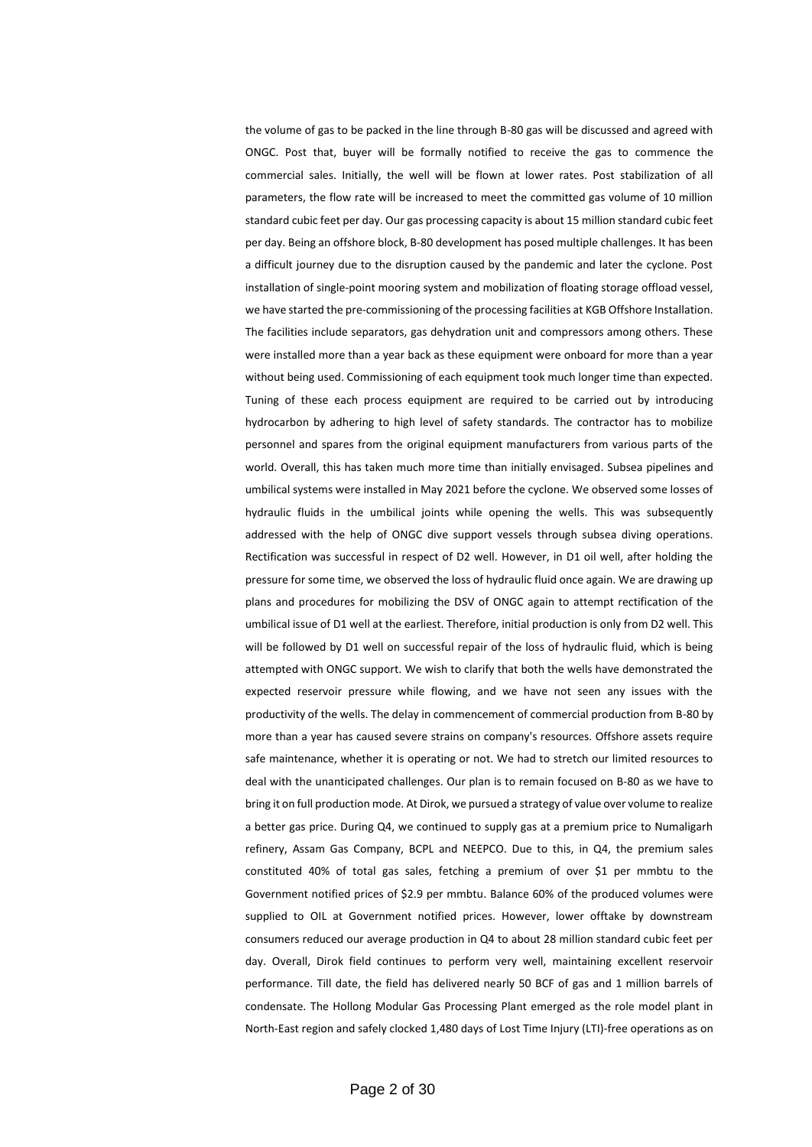the volume of gas to be packed in the line through B-80 gas will be discussed and agreed with ONGC. Post that, buyer will be formally notified to receive the gas to commence the commercial sales. Initially, the well will be flown at lower rates. Post stabilization of all parameters, the flow rate will be increased to meet the committed gas volume of 10 million standard cubic feet per day. Our gas processing capacity is about 15 million standard cubic feet per day. Being an offshore block, B-80 development has posed multiple challenges. It has been a difficult journey due to the disruption caused by the pandemic and later the cyclone. Post installation of single-point mooring system and mobilization of floating storage offload vessel, we have started the pre-commissioning of the processing facilities at KGB Offshore Installation. The facilities include separators, gas dehydration unit and compressors among others. These were installed more than a year back as these equipment were onboard for more than a year without being used. Commissioning of each equipment took much longer time than expected. Tuning of these each process equipment are required to be carried out by introducing hydrocarbon by adhering to high level of safety standards. The contractor has to mobilize personnel and spares from the original equipment manufacturers from various parts of the world. Overall, this has taken much more time than initially envisaged. Subsea pipelines and umbilical systems were installed in May 2021 before the cyclone. We observed some losses of hydraulic fluids in the umbilical joints while opening the wells. This was subsequently addressed with the help of ONGC dive support vessels through subsea diving operations. Rectification was successful in respect of D2 well. However, in D1 oil well, after holding the pressure for some time, we observed the loss of hydraulic fluid once again. We are drawing up plans and procedures for mobilizing the DSV of ONGC again to attempt rectification of the umbilical issue of D1 well at the earliest. Therefore, initial production is only from D2 well. This will be followed by D1 well on successful repair of the loss of hydraulic fluid, which is being attempted with ONGC support. We wish to clarify that both the wells have demonstrated the expected reservoir pressure while flowing, and we have not seen any issues with the productivity of the wells. The delay in commencement of commercial production from B-80 by more than a year has caused severe strains on company's resources. Offshore assets require safe maintenance, whether it is operating or not. We had to stretch our limited resources to deal with the unanticipated challenges. Our plan is to remain focused on B-80 as we have to bring it on full production mode. At Dirok, we pursued a strategy of value over volume to realize a better gas price. During Q4, we continued to supply gas at a premium price to Numaligarh refinery, Assam Gas Company, BCPL and NEEPCO. Due to this, in Q4, the premium sales constituted 40% of total gas sales, fetching a premium of over \$1 per mmbtu to the Government notified prices of \$2.9 per mmbtu. Balance 60% of the produced volumes were supplied to OIL at Government notified prices. However, lower offtake by downstream consumers reduced our average production in Q4 to about 28 million standard cubic feet per day. Overall, Dirok field continues to perform very well, maintaining excellent reservoir performance. Till date, the field has delivered nearly 50 BCF of gas and 1 million barrels of condensate. The Hollong Modular Gas Processing Plant emerged as the role model plant in North-East region and safely clocked 1,480 days of Lost Time Injury (LTI)-free operations as on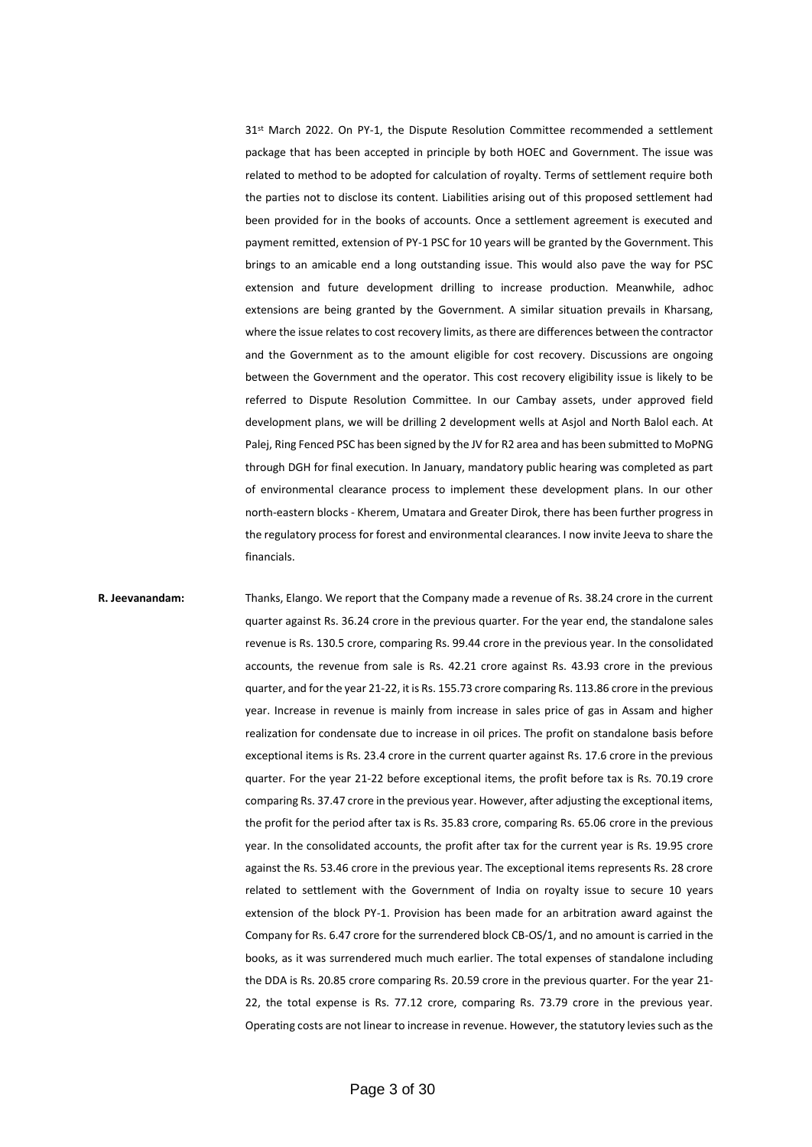$31<sup>st</sup>$  March 2022. On PY-1, the Dispute Resolution Committee recommended a settlement package that has been accepted in principle by both HOEC and Government. The issue was related to method to be adopted for calculation of royalty. Terms of settlement require both the parties not to disclose its content. Liabilities arising out of this proposed settlement had been provided for in the books of accounts. Once a settlement agreement is executed and payment remitted, extension of PY-1 PSC for 10 years will be granted by the Government. This brings to an amicable end a long outstanding issue. This would also pave the way for PSC extension and future development drilling to increase production. Meanwhile, adhoc extensions are being granted by the Government. A similar situation prevails in Kharsang, where the issue relates to cost recovery limits, as there are differences between the contractor and the Government as to the amount eligible for cost recovery. Discussions are ongoing between the Government and the operator. This cost recovery eligibility issue is likely to be referred to Dispute Resolution Committee. In our Cambay assets, under approved field development plans, we will be drilling 2 development wells at Asjol and North Balol each. At Palej, Ring Fenced PSC has been signed by the JV for R2 area and has been submitted to MoPNG through DGH for final execution. In January, mandatory public hearing was completed as part of environmental clearance process to implement these development plans. In our other north-eastern blocks - Kherem, Umatara and Greater Dirok, there has been further progress in the regulatory process for forest and environmental clearances. I now invite Jeeva to share the financials.

**R. Jeevanandam:** Thanks, Elango. We report that the Company made a revenue of Rs. 38.24 crore in the current quarter against Rs. 36.24 crore in the previous quarter. For the year end, the standalone sales revenue is Rs. 130.5 crore, comparing Rs. 99.44 crore in the previous year. In the consolidated accounts, the revenue from sale is Rs. 42.21 crore against Rs. 43.93 crore in the previous quarter, and for the year 21-22, it is Rs. 155.73 crore comparing Rs. 113.86 crore in the previous year. Increase in revenue is mainly from increase in sales price of gas in Assam and higher realization for condensate due to increase in oil prices. The profit on standalone basis before exceptional items is Rs. 23.4 crore in the current quarter against Rs. 17.6 crore in the previous quarter. For the year 21-22 before exceptional items, the profit before tax is Rs. 70.19 crore comparing Rs. 37.47 crore in the previous year. However, after adjusting the exceptional items, the profit for the period after tax is Rs. 35.83 crore, comparing Rs. 65.06 crore in the previous year. In the consolidated accounts, the profit after tax for the current year is Rs. 19.95 crore against the Rs. 53.46 crore in the previous year. The exceptional items represents Rs. 28 crore related to settlement with the Government of India on royalty issue to secure 10 years extension of the block PY-1. Provision has been made for an arbitration award against the Company for Rs. 6.47 crore for the surrendered block CB-OS/1, and no amount is carried in the books, as it was surrendered much much earlier. The total expenses of standalone including the DDA is Rs. 20.85 crore comparing Rs. 20.59 crore in the previous quarter. For the year 21- 22, the total expense is Rs. 77.12 crore, comparing Rs. 73.79 crore in the previous year. Operating costs are not linear to increase in revenue. However, the statutory levies such as the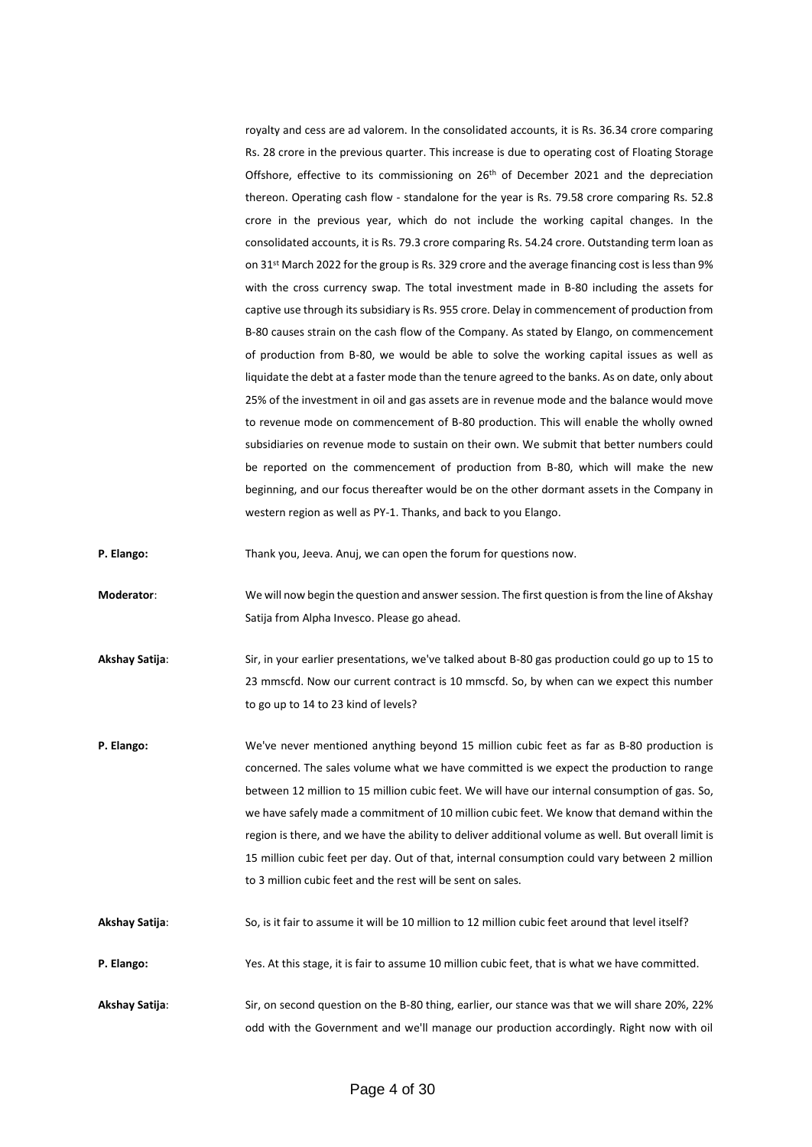royalty and cess are ad valorem. In the consolidated accounts, it is Rs. 36.34 crore comparing Rs. 28 crore in the previous quarter. This increase is due to operating cost of Floating Storage Offshore, effective to its commissioning on  $26<sup>th</sup>$  of December 2021 and the depreciation thereon. Operating cash flow - standalone for the year is Rs. 79.58 crore comparing Rs. 52.8 crore in the previous year, which do not include the working capital changes. In the consolidated accounts, it is Rs. 79.3 crore comparing Rs. 54.24 crore. Outstanding term loan as on 31st March 2022 for the group is Rs. 329 crore and the average financing cost is less than 9% with the cross currency swap. The total investment made in B-80 including the assets for captive use through its subsidiary is Rs. 955 crore. Delay in commencement of production from B-80 causes strain on the cash flow of the Company. As stated by Elango, on commencement of production from B-80, we would be able to solve the working capital issues as well as liquidate the debt at a faster mode than the tenure agreed to the banks. As on date, only about 25% of the investment in oil and gas assets are in revenue mode and the balance would move to revenue mode on commencement of B-80 production. This will enable the wholly owned subsidiaries on revenue mode to sustain on their own. We submit that better numbers could be reported on the commencement of production from B-80, which will make the new beginning, and our focus thereafter would be on the other dormant assets in the Company in western region as well as PY-1. Thanks, and back to you Elango.

**P. Elango:** Thank you, Jeeva. Anuj, we can open the forum for questions now.

**Moderator**: We will now begin the question and answer session. The first question is from the line of Akshay Satija from Alpha Invesco. Please go ahead.

**Akshay Satija**: Sir, in your earlier presentations, we've talked about B-80 gas production could go up to 15 to 23 mmscfd. Now our current contract is 10 mmscfd. So, by when can we expect this number to go up to 14 to 23 kind of levels?

**P. Elango:** We've never mentioned anything beyond 15 million cubic feet as far as B-80 production is concerned. The sales volume what we have committed is we expect the production to range between 12 million to 15 million cubic feet. We will have our internal consumption of gas. So, we have safely made a commitment of 10 million cubic feet. We know that demand within the region is there, and we have the ability to deliver additional volume as well. But overall limit is 15 million cubic feet per day. Out of that, internal consumption could vary between 2 million to 3 million cubic feet and the rest will be sent on sales.

**Akshay Satija**: So, is it fair to assume it will be 10 million to 12 million cubic feet around that level itself?

**P. Elango:** Yes. At this stage, it is fair to assume 10 million cubic feet, that is what we have committed.

**Akshay Satija**: Sir, on second question on the B-80 thing, earlier, our stance was that we will share 20%, 22% odd with the Government and we'll manage our production accordingly. Right now with oil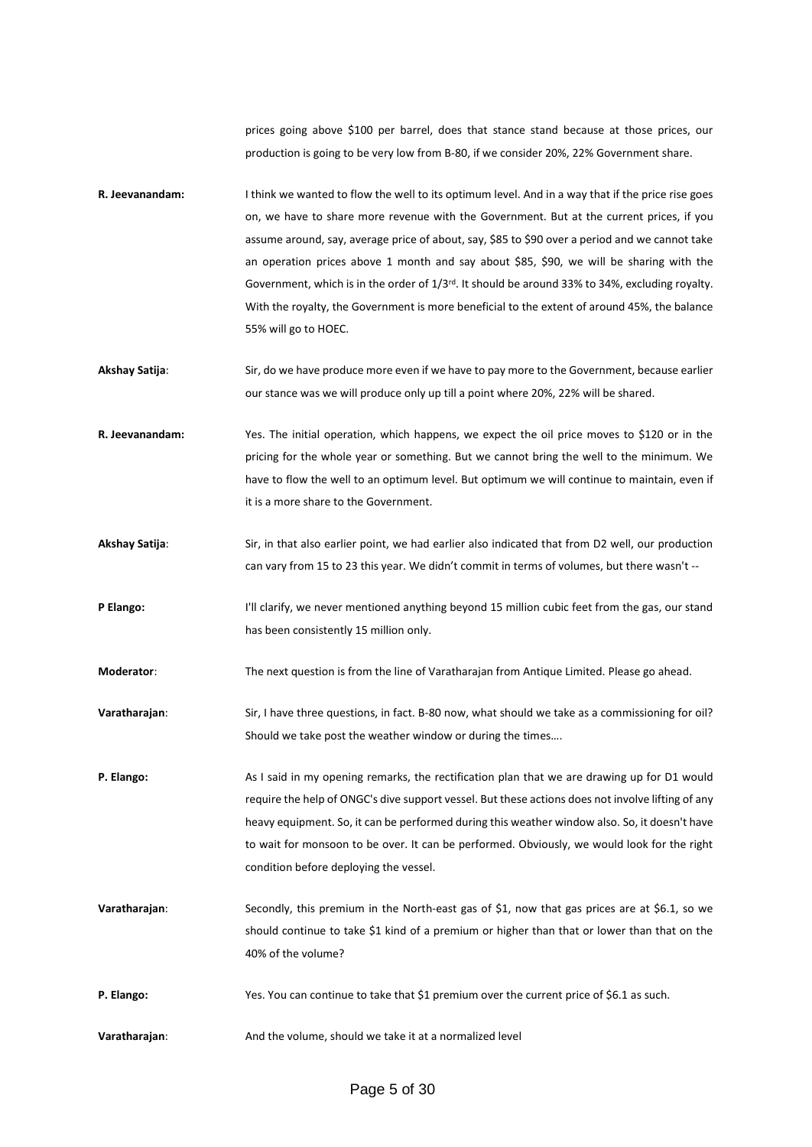prices going above \$100 per barrel, does that stance stand because at those prices, our production is going to be very low from B-80, if we consider 20%, 22% Government share.

- **R. Jeevanandam:** I think we wanted to flow the well to its optimum level. And in a way that if the price rise goes on, we have to share more revenue with the Government. But at the current prices, if you assume around, say, average price of about, say, \$85 to \$90 over a period and we cannot take an operation prices above 1 month and say about \$85, \$90, we will be sharing with the Government, which is in the order of 1/3rd. It should be around 33% to 34%, excluding royalty. With the royalty, the Government is more beneficial to the extent of around 45%, the balance 55% will go to HOEC.
- **Akshay Satija**: Sir, do we have produce more even if we have to pay more to the Government, because earlier our stance was we will produce only up till a point where 20%, 22% will be shared.
- **R. Jeevanandam:** Yes. The initial operation, which happens, we expect the oil price moves to \$120 or in the pricing for the whole year or something. But we cannot bring the well to the minimum. We have to flow the well to an optimum level. But optimum we will continue to maintain, even if it is a more share to the Government.
- **Akshay Satija**: Sir, in that also earlier point, we had earlier also indicated that from D2 well, our production can vary from 15 to 23 this year. We didn't commit in terms of volumes, but there wasn't --
- P Elango: I'll clarify, we never mentioned anything beyond 15 million cubic feet from the gas, our stand has been consistently 15 million only.
- **Moderator**: The next question is from the line of Varatharajan from Antique Limited. Please go ahead.
- **Varatharajan**: Sir, I have three questions, in fact. B-80 now, what should we take as a commissioning for oil? Should we take post the weather window or during the times….
- **P. Elango:** As I said in my opening remarks, the rectification plan that we are drawing up for D1 would require the help of ONGC's dive support vessel. But these actions does not involve lifting of any heavy equipment. So, it can be performed during this weather window also. So, it doesn't have to wait for monsoon to be over. It can be performed. Obviously, we would look for the right condition before deploying the vessel.
- **Varatharajan**: Secondly, this premium in the North-east gas of \$1, now that gas prices are at \$6.1, so we should continue to take \$1 kind of a premium or higher than that or lower than that on the 40% of the volume?
- **P. Elango:** Yes. You can continue to take that \$1 premium over the current price of \$6.1 as such.
- **Varatharajan**: And the volume, should we take it at a normalized level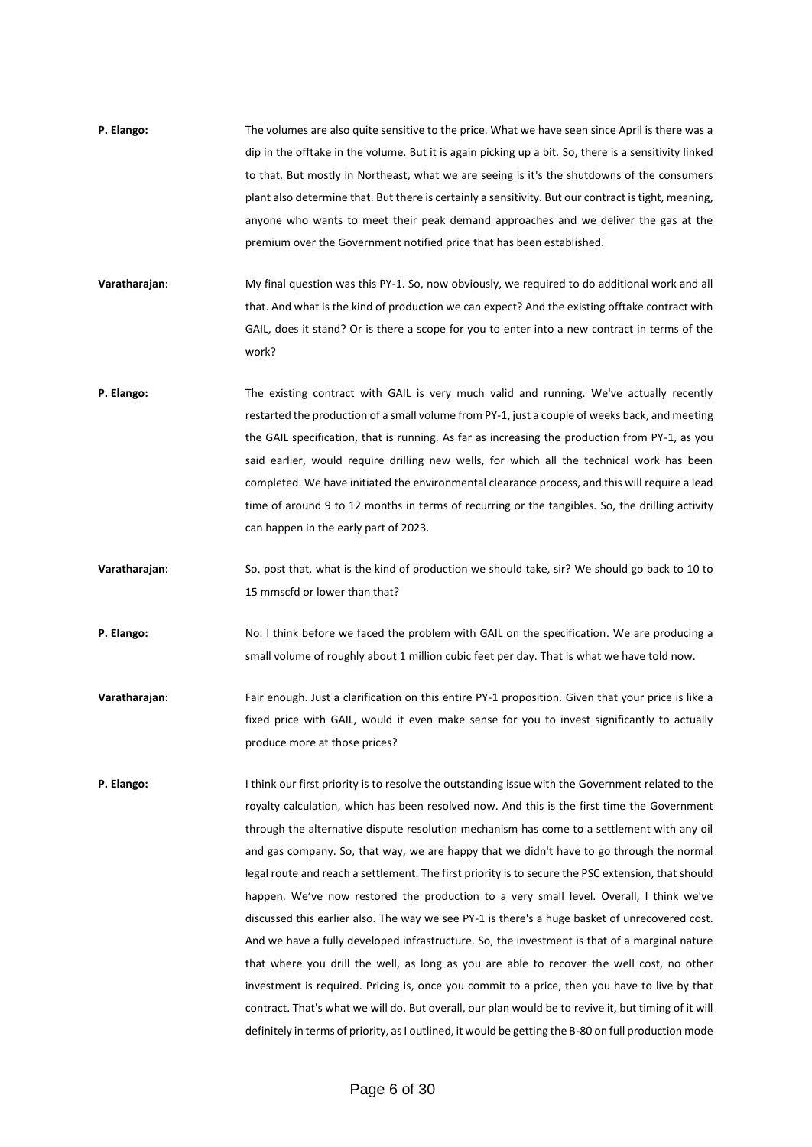- **P. Elango:** The volumes are also quite sensitive to the price. What we have seen since April is there was a dip in the offtake in the volume. But it is again picking up a bit. So, there is a sensitivity linked to that. But mostly in Northeast, what we are seeing is it's the shutdowns of the consumers plant also determine that. But there is certainly a sensitivity. But our contract is tight, meaning, anyone who wants to meet their peak demand approaches and we deliver the gas at the premium over the Government notified price that has been established.
- **Varatharajan**: My final question was this PY-1. So, now obviously, we required to do additional work and all that. And what is the kind of production we can expect? And the existing offtake contract with GAIL, does it stand? Or is there a scope for you to enter into a new contract in terms of the work?
- **P. Elango:** The existing contract with GAIL is very much valid and running. We've actually recently restarted the production of a small volume from PY-1, just a couple of weeks back, and meeting the GAIL specification, that is running. As far as increasing the production from PY-1, as you said earlier, would require drilling new wells, for which all the technical work has been completed. We have initiated the environmental clearance process, and this will require a lead time of around 9 to 12 months in terms of recurring or the tangibles. So, the drilling activity can happen in the early part of 2023.
- **Varatharajan**: So, post that, what is the kind of production we should take, sir? We should go back to 10 to 15 mmscfd or lower than that?
- **P. Elango:** No. I think before we faced the problem with GAIL on the specification. We are producing a small volume of roughly about 1 million cubic feet per day. That is what we have told now.
- **Varatharajan**: Fair enough. Just a clarification on this entire PY-1 proposition. Given that your price is like a fixed price with GAIL, would it even make sense for you to invest significantly to actually produce more at those prices?
- **P. Elango:** I think our first priority is to resolve the outstanding issue with the Government related to the royalty calculation, which has been resolved now. And this is the first time the Government through the alternative dispute resolution mechanism has come to a settlement with any oil and gas company. So, that way, we are happy that we didn't have to go through the normal legal route and reach a settlement. The first priority is to secure the PSC extension, that should happen. We've now restored the production to a very small level. Overall, I think we've discussed this earlier also. The way we see PY-1 is there's a huge basket of unrecovered cost. And we have a fully developed infrastructure. So, the investment is that of a marginal nature that where you drill the well, as long as you are able to recover the well cost, no other investment is required. Pricing is, once you commit to a price, then you have to live by that contract. That's what we will do. But overall, our plan would be to revive it, but timing of it will definitely in terms of priority, as I outlined, it would be getting the B-80 on full production mode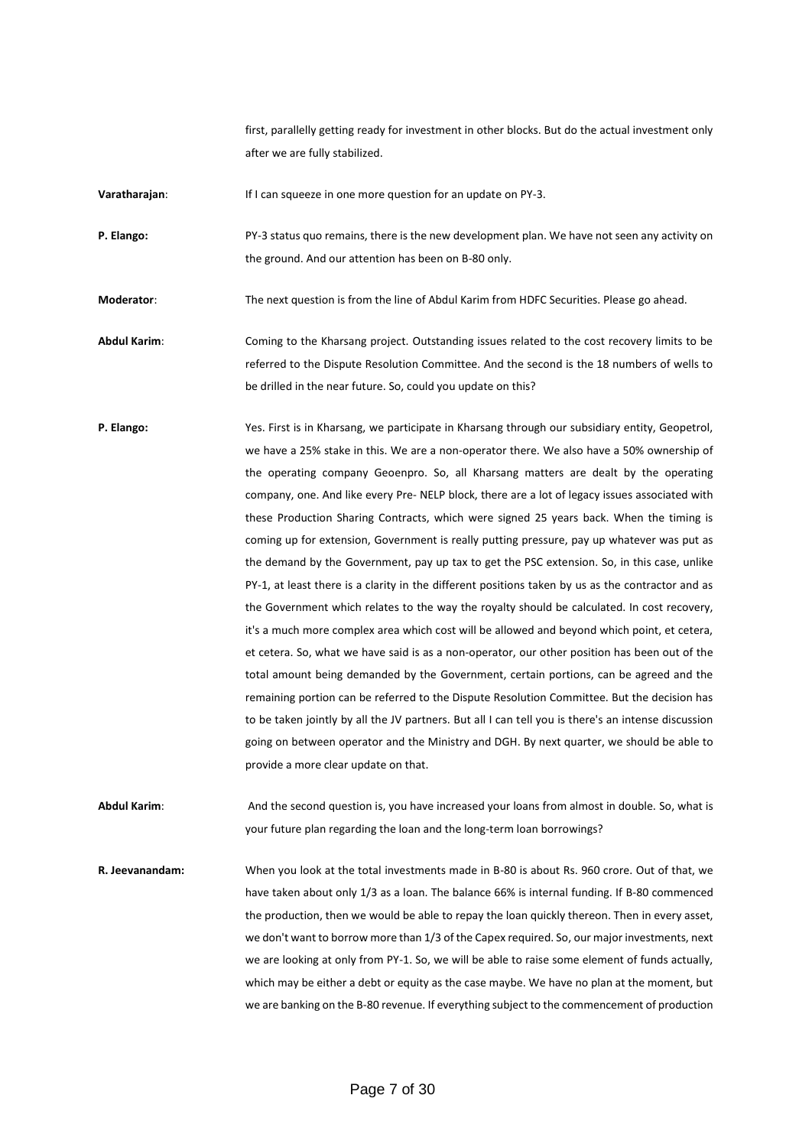first, parallelly getting ready for investment in other blocks. But do the actual investment only after we are fully stabilized.

**Varatharajan:** If I can squeeze in one more question for an update on PY-3.

**P. Elango:** PY-3 status quo remains, there is the new development plan. We have not seen any activity on the ground. And our attention has been on B-80 only.

**Moderator**: The next question is from the line of Abdul Karim from HDFC Securities. Please go ahead.

**Abdul Karim**: Coming to the Kharsang project. Outstanding issues related to the cost recovery limits to be referred to the Dispute Resolution Committee. And the second is the 18 numbers of wells to be drilled in the near future. So, could you update on this?

**P. Elango:** Yes. First is in Kharsang, we participate in Kharsang through our subsidiary entity, Geopetrol, we have a 25% stake in this. We are a non-operator there. We also have a 50% ownership of the operating company Geoenpro. So, all Kharsang matters are dealt by the operating company, one. And like every Pre- NELP block, there are a lot of legacy issues associated with these Production Sharing Contracts, which were signed 25 years back. When the timing is coming up for extension, Government is really putting pressure, pay up whatever was put as the demand by the Government, pay up tax to get the PSC extension. So, in this case, unlike PY-1, at least there is a clarity in the different positions taken by us as the contractor and as the Government which relates to the way the royalty should be calculated. In cost recovery, it's a much more complex area which cost will be allowed and beyond which point, et cetera, et cetera. So, what we have said is as a non-operator, our other position has been out of the total amount being demanded by the Government, certain portions, can be agreed and the remaining portion can be referred to the Dispute Resolution Committee. But the decision has to be taken jointly by all the JV partners. But all I can tell you is there's an intense discussion going on between operator and the Ministry and DGH. By next quarter, we should be able to provide a more clear update on that.

**Abdul Karim**: And the second question is, you have increased your loans from almost in double. So, what is your future plan regarding the loan and the long-term loan borrowings?

**R. Jeevanandam:** When you look at the total investments made in B-80 is about Rs. 960 crore. Out of that, we have taken about only 1/3 as a loan. The balance 66% is internal funding. If B-80 commenced the production, then we would be able to repay the loan quickly thereon. Then in every asset, we don't want to borrow more than 1/3 of the Capex required. So, our major investments, next we are looking at only from PY-1. So, we will be able to raise some element of funds actually, which may be either a debt or equity as the case maybe. We have no plan at the moment, but we are banking on the B-80 revenue. If everything subject to the commencement of production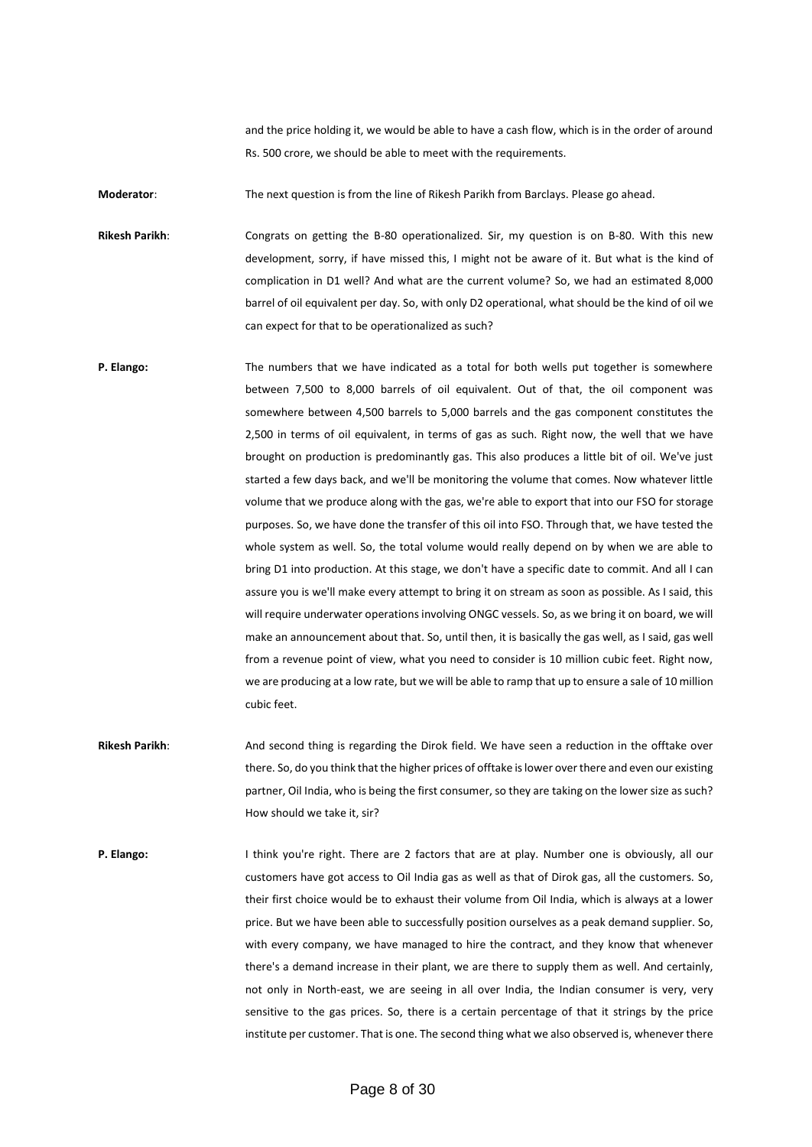and the price holding it, we would be able to have a cash flow, which is in the order of around Rs. 500 crore, we should be able to meet with the requirements.

**Moderator**: The next question is from the line of Rikesh Parikh from Barclays. Please go ahead.

**Rikesh Parikh**: Congrats on getting the B-80 operationalized. Sir, my question is on B-80. With this new development, sorry, if have missed this, I might not be aware of it. But what is the kind of complication in D1 well? And what are the current volume? So, we had an estimated 8,000 barrel of oil equivalent per day. So, with only D2 operational, what should be the kind of oil we can expect for that to be operationalized as such?

- **P. Elango:** The numbers that we have indicated as a total for both wells put together is somewhere between 7,500 to 8,000 barrels of oil equivalent. Out of that, the oil component was somewhere between 4,500 barrels to 5,000 barrels and the gas component constitutes the 2,500 in terms of oil equivalent, in terms of gas as such. Right now, the well that we have brought on production is predominantly gas. This also produces a little bit of oil. We've just started a few days back, and we'll be monitoring the volume that comes. Now whatever little volume that we produce along with the gas, we're able to export that into our FSO for storage purposes. So, we have done the transfer of this oil into FSO. Through that, we have tested the whole system as well. So, the total volume would really depend on by when we are able to bring D1 into production. At this stage, we don't have a specific date to commit. And all I can assure you is we'll make every attempt to bring it on stream as soon as possible. As I said, this will require underwater operations involving ONGC vessels. So, as we bring it on board, we will make an announcement about that. So, until then, it is basically the gas well, as I said, gas well from a revenue point of view, what you need to consider is 10 million cubic feet. Right now, we are producing at a low rate, but we will be able to ramp that up to ensure a sale of 10 million cubic feet.
- **Rikesh Parikh**: And second thing is regarding the Dirok field. We have seen a reduction in the offtake over there. So, do you think that the higher prices of offtake is lower over there and even our existing partner, Oil India, who is being the first consumer, so they are taking on the lower size as such? How should we take it, sir?
- **P. Elango:** I think you're right. There are 2 factors that are at play. Number one is obviously, all our customers have got access to Oil India gas as well as that of Dirok gas, all the customers. So, their first choice would be to exhaust their volume from Oil India, which is always at a lower price. But we have been able to successfully position ourselves as a peak demand supplier. So, with every company, we have managed to hire the contract, and they know that whenever there's a demand increase in their plant, we are there to supply them as well. And certainly, not only in North-east, we are seeing in all over India, the Indian consumer is very, very sensitive to the gas prices. So, there is a certain percentage of that it strings by the price institute per customer. That is one. The second thing what we also observed is, whenever there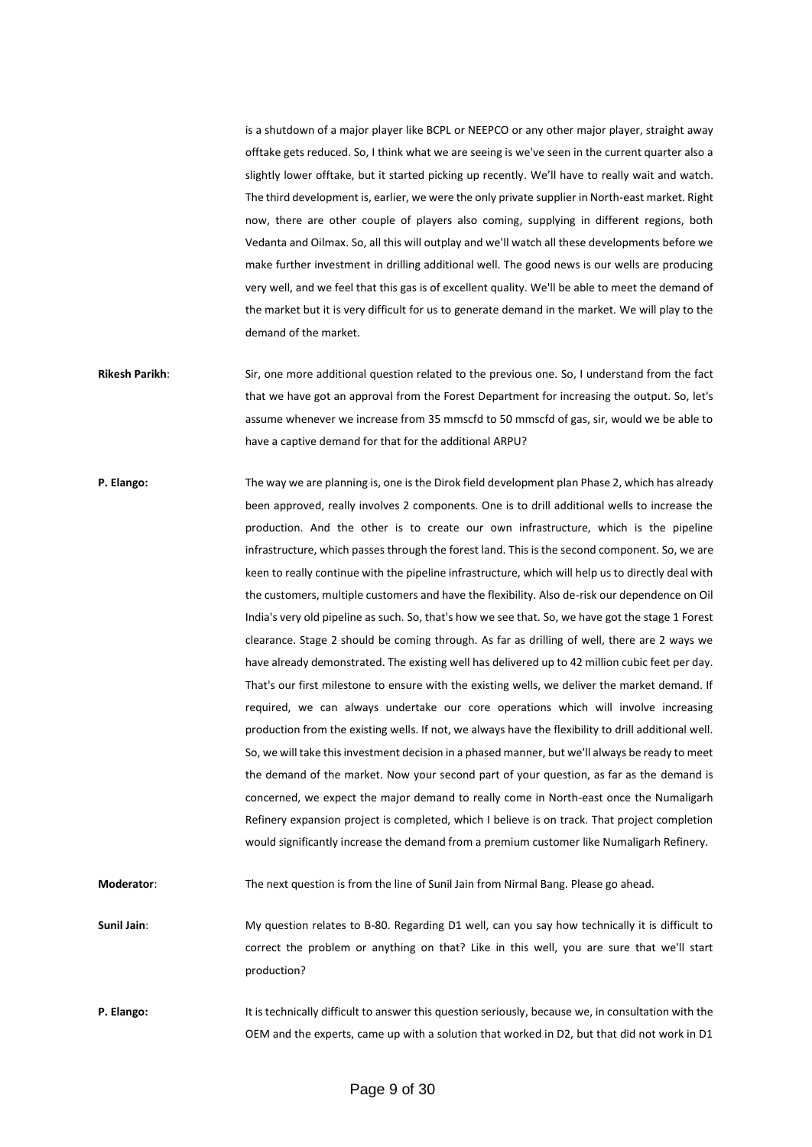is a shutdown of a major player like BCPL or NEEPCO or any other major player, straight away offtake gets reduced. So, I think what we are seeing is we've seen in the current quarter also a slightly lower offtake, but it started picking up recently. We'll have to really wait and watch. The third development is, earlier, we were the only private supplier in North-east market. Right now, there are other couple of players also coming, supplying in different regions, both Vedanta and Oilmax. So, all this will outplay and we'll watch all these developments before we make further investment in drilling additional well. The good news is our wells are producing very well, and we feel that this gas is of excellent quality. We'll be able to meet the demand of the market but it is very difficult for us to generate demand in the market. We will play to the demand of the market.

- **Rikesh Parikh**: Sir, one more additional question related to the previous one. So, I understand from the fact that we have got an approval from the Forest Department for increasing the output. So, let's assume whenever we increase from 35 mmscfd to 50 mmscfd of gas, sir, would we be able to have a captive demand for that for the additional ARPU?
- **P. Elango:** The way we are planning is, one is the Dirok field development plan Phase 2, which has already been approved, really involves 2 components. One is to drill additional wells to increase the production. And the other is to create our own infrastructure, which is the pipeline infrastructure, which passes through the forest land. This is the second component. So, we are keen to really continue with the pipeline infrastructure, which will help us to directly deal with the customers, multiple customers and have the flexibility. Also de-risk our dependence on Oil India's very old pipeline as such. So, that's how we see that. So, we have got the stage 1 Forest clearance. Stage 2 should be coming through. As far as drilling of well, there are 2 ways we have already demonstrated. The existing well has delivered up to 42 million cubic feet per day. That's our first milestone to ensure with the existing wells, we deliver the market demand. If required, we can always undertake our core operations which will involve increasing production from the existing wells. If not, we always have the flexibility to drill additional well. So, we will take this investment decision in a phased manner, but we'll always be ready to meet the demand of the market. Now your second part of your question, as far as the demand is concerned, we expect the major demand to really come in North-east once the Numaligarh Refinery expansion project is completed, which I believe is on track. That project completion would significantly increase the demand from a premium customer like Numaligarh Refinery.

**Moderator**: The next question is from the line of Sunil Jain from Nirmal Bang. Please go ahead.

**Sunil Jain**: My question relates to B-80. Regarding D1 well, can you say how technically it is difficult to correct the problem or anything on that? Like in this well, you are sure that we'll start production?

**P. Elango:** It is technically difficult to answer this question seriously, because we, in consultation with the OEM and the experts, came up with a solution that worked in D2, but that did not work in D1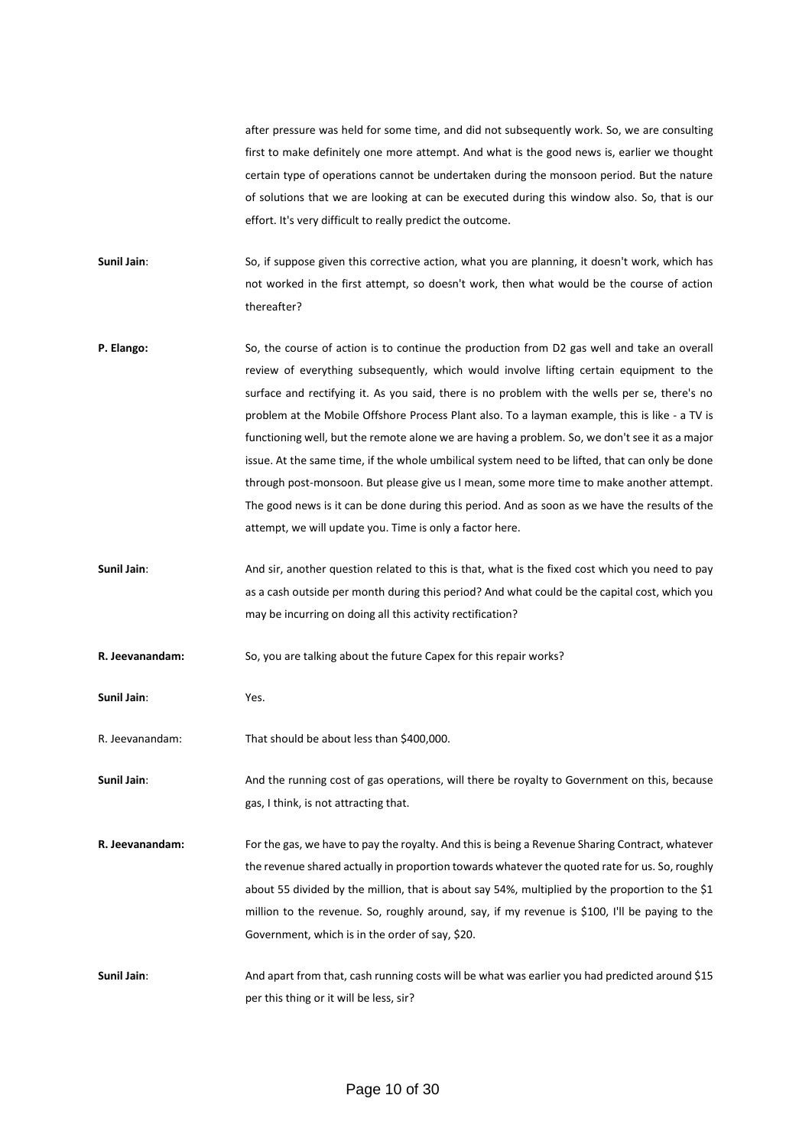after pressure was held for some time, and did not subsequently work. So, we are consulting first to make definitely one more attempt. And what is the good news is, earlier we thought certain type of operations cannot be undertaken during the monsoon period. But the nature of solutions that we are looking at can be executed during this window also. So, that is our effort. It's very difficult to really predict the outcome.

**Sunil Jain**: So, if suppose given this corrective action, what you are planning, it doesn't work, which has not worked in the first attempt, so doesn't work, then what would be the course of action thereafter?

- **P. Elango:** So, the course of action is to continue the production from D2 gas well and take an overall review of everything subsequently, which would involve lifting certain equipment to the surface and rectifying it. As you said, there is no problem with the wells per se, there's no problem at the Mobile Offshore Process Plant also. To a layman example, this is like - a TV is functioning well, but the remote alone we are having a problem. So, we don't see it as a major issue. At the same time, if the whole umbilical system need to be lifted, that can only be done through post-monsoon. But please give us I mean, some more time to make another attempt. The good news is it can be done during this period. And as soon as we have the results of the attempt, we will update you. Time is only a factor here.
- **Sunil Jain:** And sir, another question related to this is that, what is the fixed cost which you need to pay as a cash outside per month during this period? And what could be the capital cost, which you may be incurring on doing all this activity rectification?
- **R. Jeevanandam:** So, you are talking about the future Capex for this repair works?

**Sunil Jain**: Yes.

R. Jeevanandam: That should be about less than \$400,000.

Sunil Jain: And the running cost of gas operations, will there be royalty to Government on this, because gas, I think, is not attracting that.

- **R. Jeevanandam:** For the gas, we have to pay the royalty. And this is being a Revenue Sharing Contract, whatever the revenue shared actually in proportion towards whatever the quoted rate for us. So, roughly about 55 divided by the million, that is about say 54%, multiplied by the proportion to the \$1 million to the revenue. So, roughly around, say, if my revenue is \$100, I'll be paying to the Government, which is in the order of say, \$20.
- **Sunil Jain**: And apart from that, cash running costs will be what was earlier you had predicted around \$15 per this thing or it will be less, sir?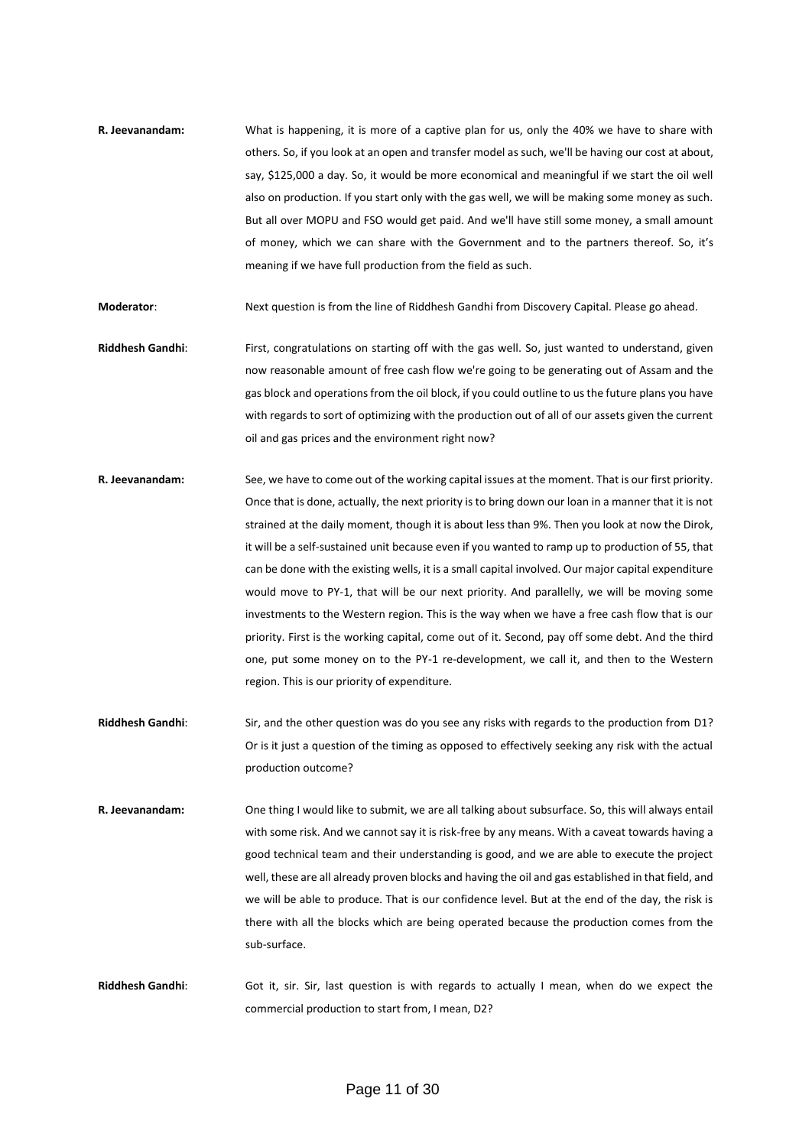**R. Jeevanandam:** What is happening, it is more of a captive plan for us, only the 40% we have to share with others. So, if you look at an open and transfer model as such, we'll be having our cost at about, say, \$125,000 a day. So, it would be more economical and meaningful if we start the oil well also on production. If you start only with the gas well, we will be making some money as such. But all over MOPU and FSO would get paid. And we'll have still some money, a small amount of money, which we can share with the Government and to the partners thereof. So, it's meaning if we have full production from the field as such.

**Moderator**: Next question is from the line of Riddhesh Gandhi from Discovery Capital. Please go ahead.

- **Riddhesh Gandhi**: First, congratulations on starting off with the gas well. So, just wanted to understand, given now reasonable amount of free cash flow we're going to be generating out of Assam and the gas block and operations from the oil block, if you could outline to us the future plans you have with regards to sort of optimizing with the production out of all of our assets given the current oil and gas prices and the environment right now?
- **R. Jeevanandam:** See, we have to come out of the working capital issues at the moment. That is our first priority. Once that is done, actually, the next priority is to bring down our loan in a manner that it is not strained at the daily moment, though it is about less than 9%. Then you look at now the Dirok, it will be a self-sustained unit because even if you wanted to ramp up to production of 55, that can be done with the existing wells, it is a small capital involved. Our major capital expenditure would move to PY-1, that will be our next priority. And parallelly, we will be moving some investments to the Western region. This is the way when we have a free cash flow that is our priority. First is the working capital, come out of it. Second, pay off some debt. And the third one, put some money on to the PY-1 re-development, we call it, and then to the Western region. This is our priority of expenditure.
- **Riddhesh Gandhi**: Sir, and the other question was do you see any risks with regards to the production from D1? Or is it just a question of the timing as opposed to effectively seeking any risk with the actual production outcome?
- **R. Jeevanandam:** One thing I would like to submit, we are all talking about subsurface. So, this will always entail with some risk. And we cannot say it is risk-free by any means. With a caveat towards having a good technical team and their understanding is good, and we are able to execute the project well, these are all already proven blocks and having the oil and gas established in that field, and we will be able to produce. That is our confidence level. But at the end of the day, the risk is there with all the blocks which are being operated because the production comes from the sub-surface.
- **Riddhesh Gandhi**: Got it, sir. Sir, last question is with regards to actually I mean, when do we expect the commercial production to start from, I mean, D2?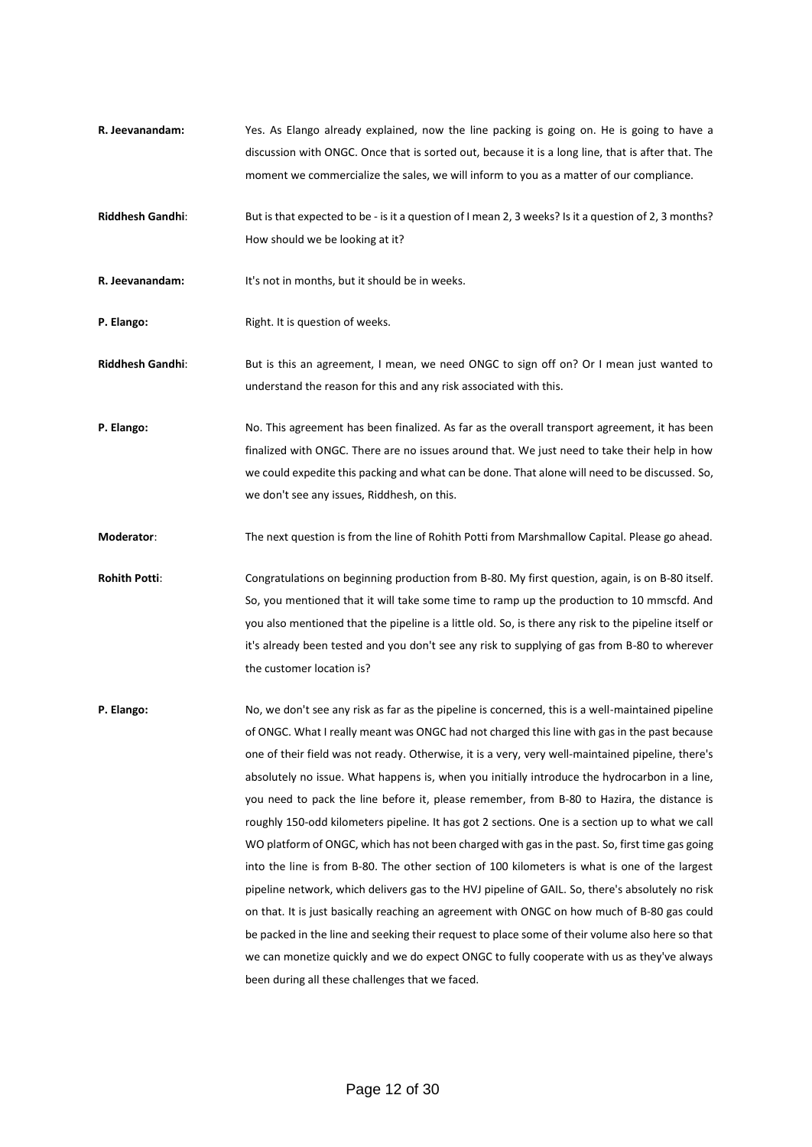- **R. Jeevanandam:** Yes. As Elango already explained, now the line packing is going on. He is going to have a discussion with ONGC. Once that is sorted out, because it is a long line, that is after that. The moment we commercialize the sales, we will inform to you as a matter of our compliance.
- **Riddhesh Gandhi:** But is that expected to be is it a question of I mean 2, 3 weeks? Is it a question of 2, 3 months? How should we be looking at it?
- **R. Jeevanandam:** It's not in months, but it should be in weeks.
- **P. Elango:** Right. It is question of weeks.
- **Riddhesh Gandhi**: But is this an agreement, I mean, we need ONGC to sign off on? Or I mean just wanted to understand the reason for this and any risk associated with this.
- **P. Elango:** No. This agreement has been finalized. As far as the overall transport agreement, it has been finalized with ONGC. There are no issues around that. We just need to take their help in how we could expedite this packing and what can be done. That alone will need to be discussed. So, we don't see any issues, Riddhesh, on this.

**Moderator**: The next question is from the line of Rohith Potti from Marshmallow Capital. Please go ahead.

- **Rohith Potti**: Congratulations on beginning production from B-80. My first question, again, is on B-80 itself. So, you mentioned that it will take some time to ramp up the production to 10 mmscfd. And you also mentioned that the pipeline is a little old. So, is there any risk to the pipeline itself or it's already been tested and you don't see any risk to supplying of gas from B-80 to wherever the customer location is?
- **P. Elango:** No, we don't see any risk as far as the pipeline is concerned, this is a well-maintained pipeline of ONGC. What I really meant was ONGC had not charged this line with gas in the past because one of their field was not ready. Otherwise, it is a very, very well-maintained pipeline, there's absolutely no issue. What happens is, when you initially introduce the hydrocarbon in a line, you need to pack the line before it, please remember, from B-80 to Hazira, the distance is roughly 150-odd kilometers pipeline. It has got 2 sections. One is a section up to what we call WO platform of ONGC, which has not been charged with gas in the past. So, first time gas going into the line is from B-80. The other section of 100 kilometers is what is one of the largest pipeline network, which delivers gas to the HVJ pipeline of GAIL. So, there's absolutely no risk on that. It is just basically reaching an agreement with ONGC on how much of B-80 gas could be packed in the line and seeking their request to place some of their volume also here so that we can monetize quickly and we do expect ONGC to fully cooperate with us as they've always been during all these challenges that we faced.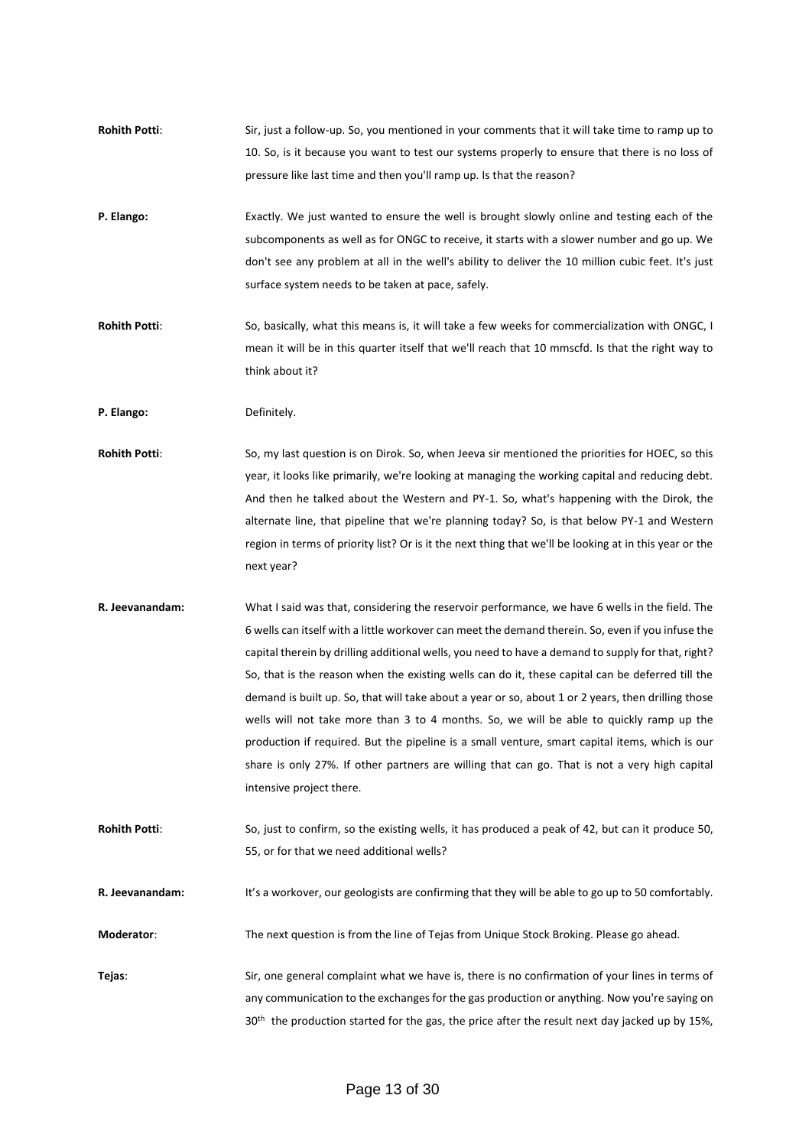- **Rohith Potti**: Sir, just a follow-up. So, you mentioned in your comments that it will take time to ramp up to 10. So, is it because you want to test our systems properly to ensure that there is no loss of pressure like last time and then you'll ramp up. Is that the reason?
- **P. Elango:** Exactly. We just wanted to ensure the well is brought slowly online and testing each of the subcomponents as well as for ONGC to receive, it starts with a slower number and go up. We don't see any problem at all in the well's ability to deliver the 10 million cubic feet. It's just surface system needs to be taken at pace, safely.
- **Rohith Potti**: So, basically, what this means is, it will take a few weeks for commercialization with ONGC, I mean it will be in this quarter itself that we'll reach that 10 mmscfd. Is that the right way to think about it?

P. Elango: Definitely.

- **Rohith Potti**: So, my last question is on Dirok. So, when Jeeva sir mentioned the priorities for HOEC, so this year, it looks like primarily, we're looking at managing the working capital and reducing debt. And then he talked about the Western and PY-1. So, what's happening with the Dirok, the alternate line, that pipeline that we're planning today? So, is that below PY-1 and Western region in terms of priority list? Or is it the next thing that we'll be looking at in this year or the next year?
- **R. Jeevanandam:** What I said was that, considering the reservoir performance, we have 6 wells in the field. The 6 wells can itself with a little workover can meet the demand therein. So, even if you infuse the capital therein by drilling additional wells, you need to have a demand to supply for that, right? So, that is the reason when the existing wells can do it, these capital can be deferred till the demand is built up. So, that will take about a year or so, about 1 or 2 years, then drilling those wells will not take more than 3 to 4 months. So, we will be able to quickly ramp up the production if required. But the pipeline is a small venture, smart capital items, which is our share is only 27%. If other partners are willing that can go. That is not a very high capital intensive project there.
- **Rohith Potti**: So, just to confirm, so the existing wells, it has produced a peak of 42, but can it produce 50, 55, or for that we need additional wells?

**R. Jeevanandam:** It's a workover, our geologists are confirming that they will be able to go up to 50 comfortably.

- **Moderator**: The next question is from the line of Tejas from Unique Stock Broking. Please go ahead.
- **Tejas**: Sir, one general complaint what we have is, there is no confirmation of your lines in terms of any communication to the exchanges for the gas production or anything. Now you're saying on 30<sup>th</sup> the production started for the gas, the price after the result next day jacked up by 15%,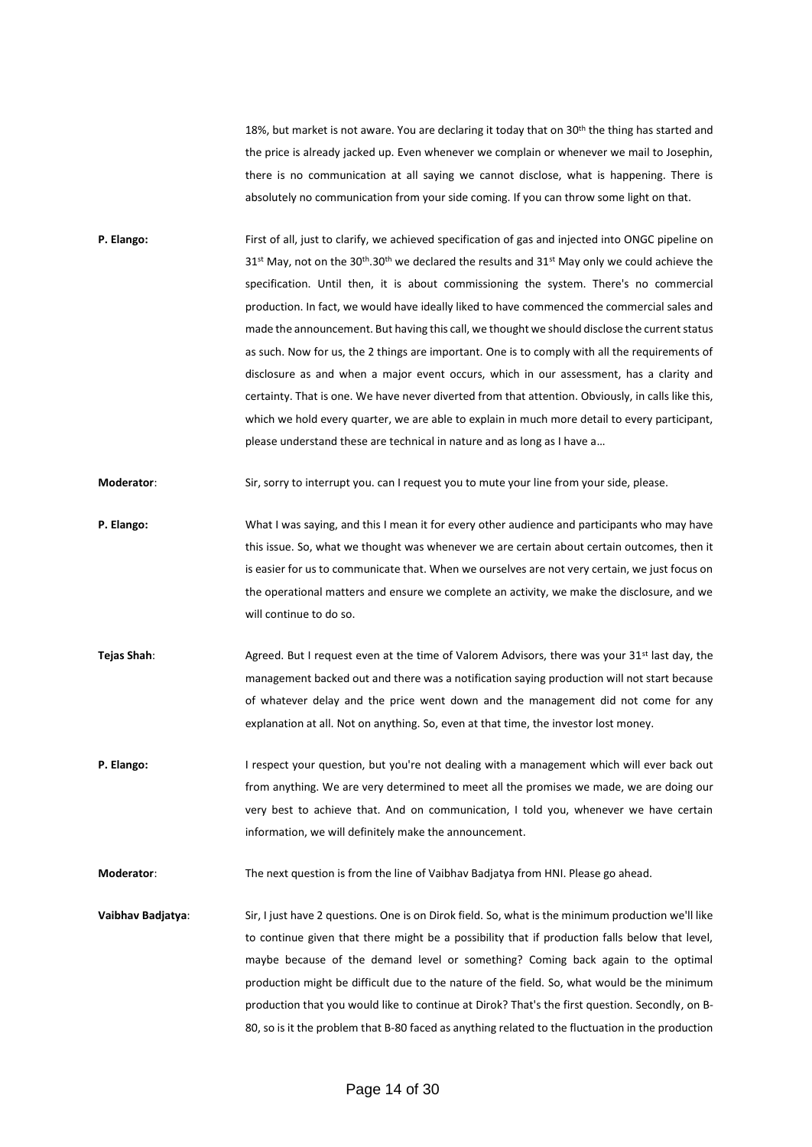18%, but market is not aware. You are declaring it today that on 30<sup>th</sup> the thing has started and the price is already jacked up. Even whenever we complain or whenever we mail to Josephin, there is no communication at all saying we cannot disclose, what is happening. There is absolutely no communication from your side coming. If you can throw some light on that.

**P. Elango:** First of all, just to clarify, we achieved specification of gas and injected into ONGC pipeline on  $31<sup>st</sup>$  May, not on the  $30<sup>th</sup>$ . 30<sup>th</sup> we declared the results and  $31<sup>st</sup>$  May only we could achieve the specification. Until then, it is about commissioning the system. There's no commercial production. In fact, we would have ideally liked to have commenced the commercial sales and made the announcement. But having this call, we thought we should disclose the current status as such. Now for us, the 2 things are important. One is to comply with all the requirements of disclosure as and when a major event occurs, which in our assessment, has a clarity and certainty. That is one. We have never diverted from that attention. Obviously, in calls like this, which we hold every quarter, we are able to explain in much more detail to every participant, please understand these are technical in nature and as long as I have a…

**Moderator**: Sir, sorry to interrupt you. can I request you to mute your line from your side, please.

- **P. Elango:** What I was saying, and this I mean it for every other audience and participants who may have this issue. So, what we thought was whenever we are certain about certain outcomes, then it is easier for us to communicate that. When we ourselves are not very certain, we just focus on the operational matters and ensure we complete an activity, we make the disclosure, and we will continue to do so.
- **Tejas Shah**: Agreed. But I request even at the time of Valorem Advisors, there was your 31<sup>st</sup> last day, the management backed out and there was a notification saying production will not start because of whatever delay and the price went down and the management did not come for any explanation at all. Not on anything. So, even at that time, the investor lost money.
- **P. Elango:** I respect your question, but you're not dealing with a management which will ever back out from anything. We are very determined to meet all the promises we made, we are doing our very best to achieve that. And on communication, I told you, whenever we have certain information, we will definitely make the announcement.

**Moderator**: The next question is from the line of Vaibhav Badjatya from HNI. Please go ahead.

**Vaibhav Badjatya**: Sir, I just have 2 questions. One is on Dirok field. So, what is the minimum production we'll like to continue given that there might be a possibility that if production falls below that level, maybe because of the demand level or something? Coming back again to the optimal production might be difficult due to the nature of the field. So, what would be the minimum production that you would like to continue at Dirok? That's the first question. Secondly, on B-80, so is it the problem that B-80 faced as anything related to the fluctuation in the production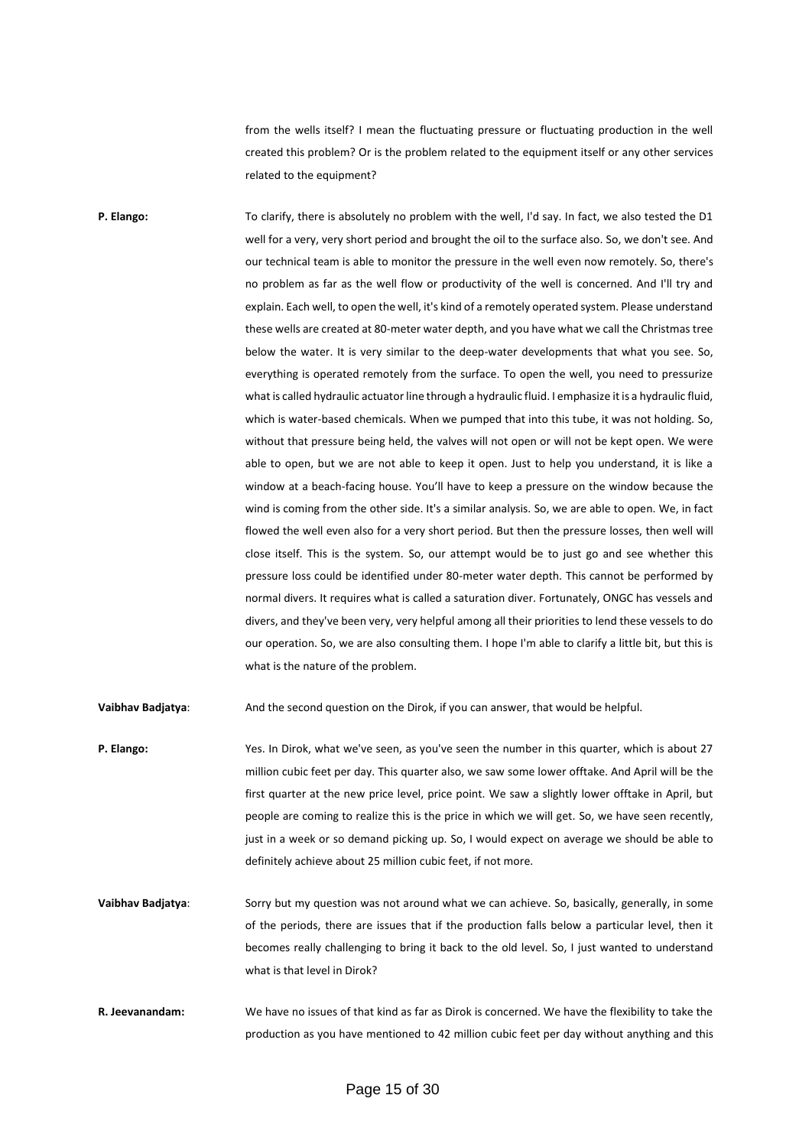from the wells itself? I mean the fluctuating pressure or fluctuating production in the well created this problem? Or is the problem related to the equipment itself or any other services related to the equipment?

**P. Elango:** To clarify, there is absolutely no problem with the well, I'd say. In fact, we also tested the D1 well for a very, very short period and brought the oil to the surface also. So, we don't see. And our technical team is able to monitor the pressure in the well even now remotely. So, there's no problem as far as the well flow or productivity of the well is concerned. And I'll try and explain. Each well, to open the well, it's kind of a remotely operated system. Please understand these wells are created at 80-meter water depth, and you have what we call the Christmas tree below the water. It is very similar to the deep-water developments that what you see. So, everything is operated remotely from the surface. To open the well, you need to pressurize what is called hydraulic actuator line through a hydraulic fluid. I emphasize it is a hydraulic fluid, which is water-based chemicals. When we pumped that into this tube, it was not holding. So, without that pressure being held, the valves will not open or will not be kept open. We were able to open, but we are not able to keep it open. Just to help you understand, it is like a window at a beach-facing house. You'll have to keep a pressure on the window because the wind is coming from the other side. It's a similar analysis. So, we are able to open. We, in fact flowed the well even also for a very short period. But then the pressure losses, then well will close itself. This is the system. So, our attempt would be to just go and see whether this pressure loss could be identified under 80-meter water depth. This cannot be performed by normal divers. It requires what is called a saturation diver. Fortunately, ONGC has vessels and divers, and they've been very, very helpful among all their priorities to lend these vessels to do our operation. So, we are also consulting them. I hope I'm able to clarify a little bit, but this is what is the nature of the problem.

**Vaibhav Badjatya**: And the second question on the Dirok, if you can answer, that would be helpful.

- **P. Elango:** Yes. In Dirok, what we've seen, as you've seen the number in this quarter, which is about 27 million cubic feet per day. This quarter also, we saw some lower offtake. And April will be the first quarter at the new price level, price point. We saw a slightly lower offtake in April, but people are coming to realize this is the price in which we will get. So, we have seen recently, just in a week or so demand picking up. So, I would expect on average we should be able to definitely achieve about 25 million cubic feet, if not more.
- **Vaibhav Badjatya**: Sorry but my question was not around what we can achieve. So, basically, generally, in some of the periods, there are issues that if the production falls below a particular level, then it becomes really challenging to bring it back to the old level. So, I just wanted to understand what is that level in Dirok?
- **R. Jeevanandam:** We have no issues of that kind as far as Dirok is concerned. We have the flexibility to take the production as you have mentioned to 42 million cubic feet per day without anything and this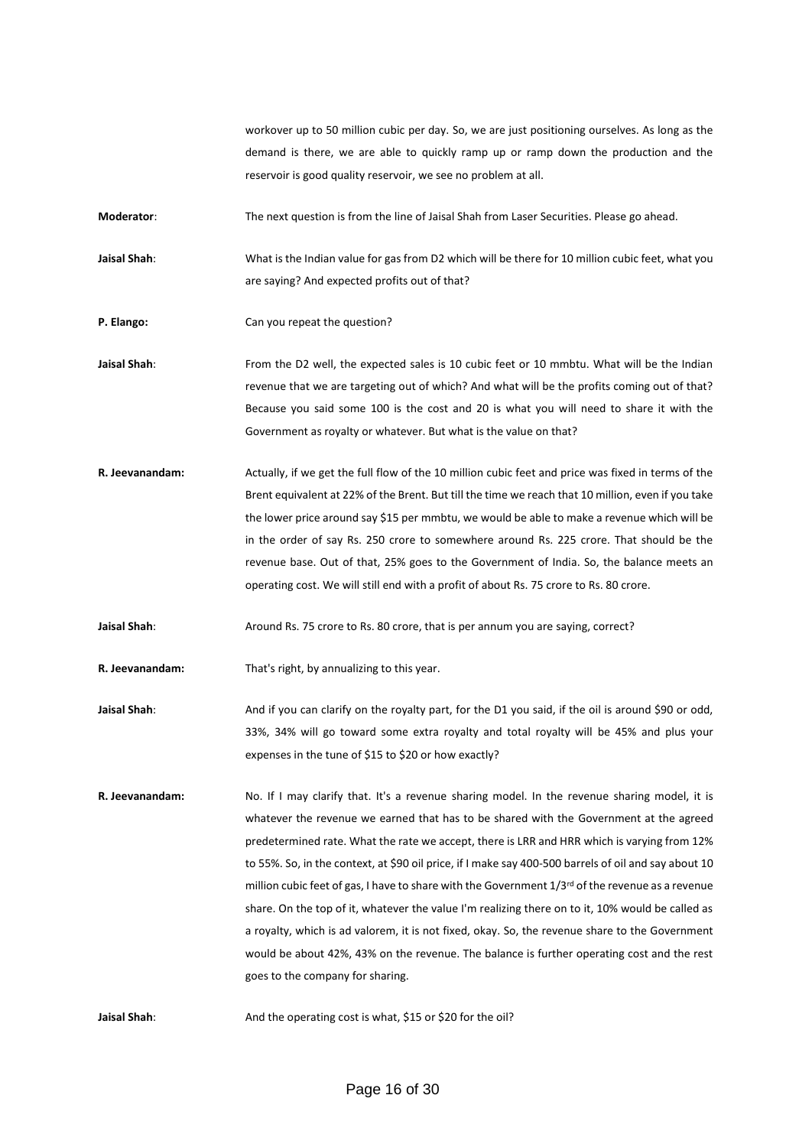workover up to 50 million cubic per day. So, we are just positioning ourselves. As long as the demand is there, we are able to quickly ramp up or ramp down the production and the reservoir is good quality reservoir, we see no problem at all.

**Moderator**: The next question is from the line of Jaisal Shah from Laser Securities. Please go ahead.

**Jaisal Shah**: What is the Indian value for gas from D2 which will be there for 10 million cubic feet, what you are saying? And expected profits out of that?

- **P. Elango:** Can you repeat the question?
- Jaisal Shah: From the D2 well, the expected sales is 10 cubic feet or 10 mmbtu. What will be the Indian revenue that we are targeting out of which? And what will be the profits coming out of that? Because you said some 100 is the cost and 20 is what you will need to share it with the Government as royalty or whatever. But what is the value on that?
- **R. Jeevanandam:** Actually, if we get the full flow of the 10 million cubic feet and price was fixed in terms of the Brent equivalent at 22% of the Brent. But till the time we reach that 10 million, even if you take the lower price around say \$15 per mmbtu, we would be able to make a revenue which will be in the order of say Rs. 250 crore to somewhere around Rs. 225 crore. That should be the revenue base. Out of that, 25% goes to the Government of India. So, the balance meets an operating cost. We will still end with a profit of about Rs. 75 crore to Rs. 80 crore.

**Jaisal Shah**: Around Rs. 75 crore to Rs. 80 crore, that is per annum you are saying, correct?

**R. Jeevanandam:** That's right, by annualizing to this year.

**Jaisal Shah**: And if you can clarify on the royalty part, for the D1 you said, if the oil is around \$90 or odd, 33%, 34% will go toward some extra royalty and total royalty will be 45% and plus your expenses in the tune of \$15 to \$20 or how exactly?

**R. Jeevanandam:** No. If I may clarify that. It's a revenue sharing model. In the revenue sharing model, it is whatever the revenue we earned that has to be shared with the Government at the agreed predetermined rate. What the rate we accept, there is LRR and HRR which is varying from 12% to 55%. So, in the context, at \$90 oil price, if I make say 400-500 barrels of oil and say about 10 million cubic feet of gas, I have to share with the Government  $1/3^{rd}$  of the revenue as a revenue share. On the top of it, whatever the value I'm realizing there on to it, 10% would be called as a royalty, which is ad valorem, it is not fixed, okay. So, the revenue share to the Government would be about 42%, 43% on the revenue. The balance is further operating cost and the rest goes to the company for sharing.

**Jaisal Shah**: And the operating cost is what, \$15 or \$20 for the oil?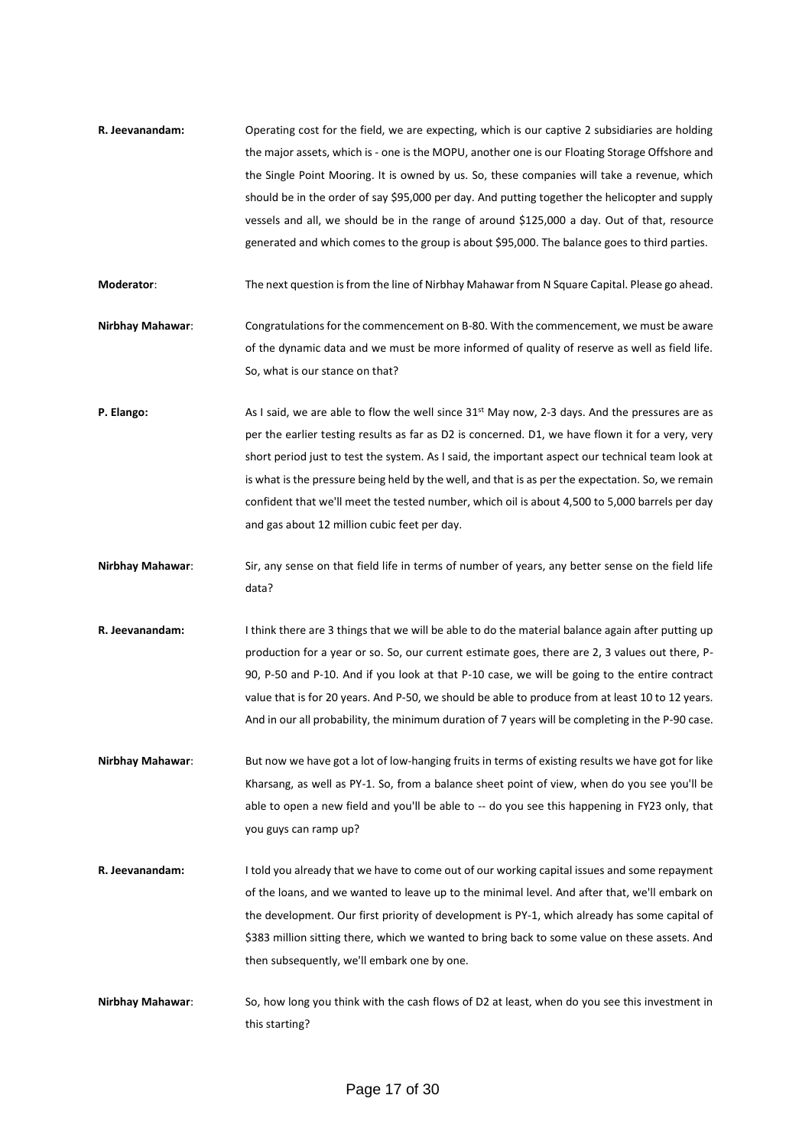**R. Jeevanandam:** Operating cost for the field, we are expecting, which is our captive 2 subsidiaries are holding the major assets, which is - one is the MOPU, another one is our Floating Storage Offshore and the Single Point Mooring. It is owned by us. So, these companies will take a revenue, which should be in the order of say \$95,000 per day. And putting together the helicopter and supply vessels and all, we should be in the range of around \$125,000 a day. Out of that, resource generated and which comes to the group is about \$95,000. The balance goes to third parties.

**Moderator**: The next question is from the line of Nirbhay Mahawar from N Square Capital. Please go ahead.

- **Nirbhay Mahawar**: Congratulations for the commencement on B-80. With the commencement, we must be aware of the dynamic data and we must be more informed of quality of reserve as well as field life. So, what is our stance on that?
- **P. Elango:** As I said, we are able to flow the well since 31<sup>st</sup> May now, 2-3 days. And the pressures are as per the earlier testing results as far as D2 is concerned. D1, we have flown it for a very, very short period just to test the system. As I said, the important aspect our technical team look at is what is the pressure being held by the well, and that is as per the expectation. So, we remain confident that we'll meet the tested number, which oil is about 4,500 to 5,000 barrels per day and gas about 12 million cubic feet per day.
- **Nirbhay Mahawar**: Sir, any sense on that field life in terms of number of years, any better sense on the field life data?
- **R. Jeevanandam:** I think there are 3 things that we will be able to do the material balance again after putting up production for a year or so. So, our current estimate goes, there are 2, 3 values out there, P-90, P-50 and P-10. And if you look at that P-10 case, we will be going to the entire contract value that is for 20 years. And P-50, we should be able to produce from at least 10 to 12 years. And in our all probability, the minimum duration of 7 years will be completing in the P-90 case.
- **Nirbhay Mahawar**: But now we have got a lot of low-hanging fruits in terms of existing results we have got for like Kharsang, as well as PY-1. So, from a balance sheet point of view, when do you see you'll be able to open a new field and you'll be able to -- do you see this happening in FY23 only, that you guys can ramp up?
- **R. Jeevanandam:** I told you already that we have to come out of our working capital issues and some repayment of the loans, and we wanted to leave up to the minimal level. And after that, we'll embark on the development. Our first priority of development is PY-1, which already has some capital of \$383 million sitting there, which we wanted to bring back to some value on these assets. And then subsequently, we'll embark one by one.
- **Nirbhay Mahawar**: So, how long you think with the cash flows of D2 at least, when do you see this investment in this starting?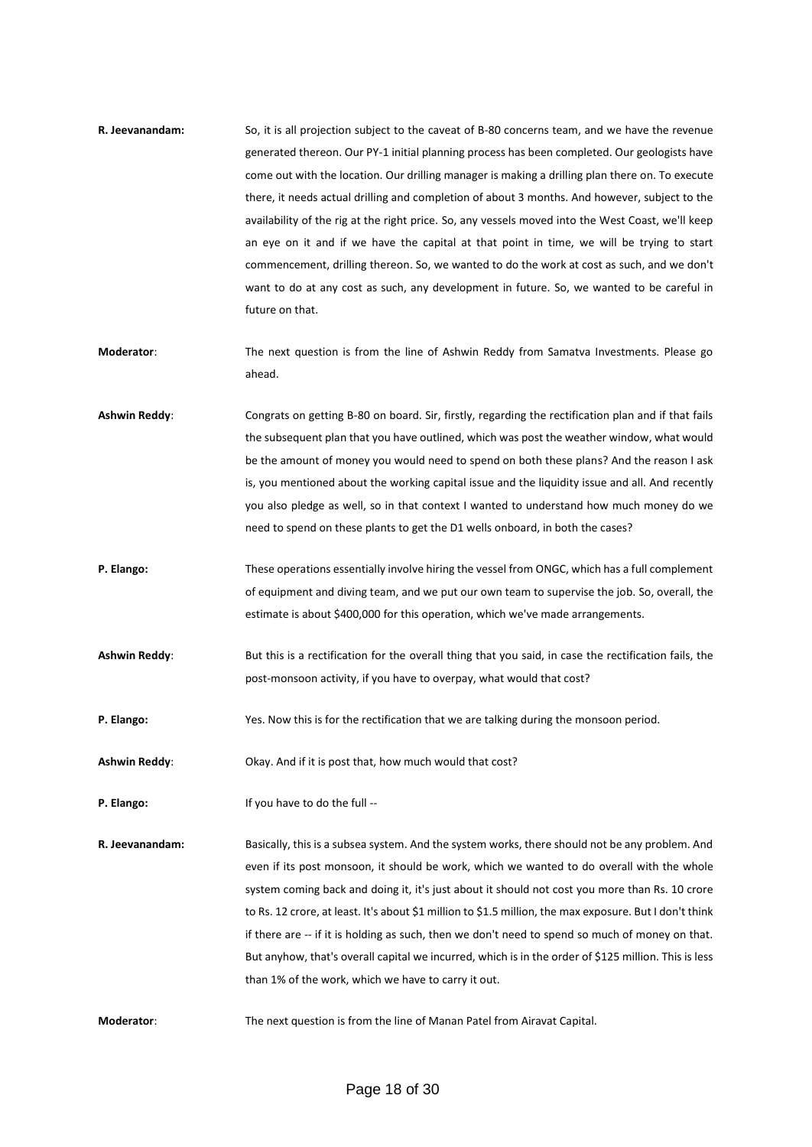- **R. Jeevanandam:** So, it is all projection subject to the caveat of B-80 concerns team, and we have the revenue generated thereon. Our PY-1 initial planning process has been completed. Our geologists have come out with the location. Our drilling manager is making a drilling plan there on. To execute there, it needs actual drilling and completion of about 3 months. And however, subject to the availability of the rig at the right price. So, any vessels moved into the West Coast, we'll keep an eye on it and if we have the capital at that point in time, we will be trying to start commencement, drilling thereon. So, we wanted to do the work at cost as such, and we don't want to do at any cost as such, any development in future. So, we wanted to be careful in future on that.
- **Moderator**: The next question is from the line of Ashwin Reddy from Samatva Investments. Please go ahead.
- **Ashwin Reddy**: Congrats on getting B-80 on board. Sir, firstly, regarding the rectification plan and if that fails the subsequent plan that you have outlined, which was post the weather window, what would be the amount of money you would need to spend on both these plans? And the reason I ask is, you mentioned about the working capital issue and the liquidity issue and all. And recently you also pledge as well, so in that context I wanted to understand how much money do we need to spend on these plants to get the D1 wells onboard, in both the cases?
- **P. Elango:** These operations essentially involve hiring the vessel from ONGC, which has a full complement of equipment and diving team, and we put our own team to supervise the job. So, overall, the estimate is about \$400,000 for this operation, which we've made arrangements.
- **Ashwin Reddy**: But this is a rectification for the overall thing that you said, in case the rectification fails, the post-monsoon activity, if you have to overpay, what would that cost?
- **P. Elango:** Yes. Now this is for the rectification that we are talking during the monsoon period.

**Ashwin Reddy**: Okay. And if it is post that, how much would that cost?

- **P. Elango:** If you have to do the full --
- **R. Jeevanandam:** Basically, this is a subsea system. And the system works, there should not be any problem. And even if its post monsoon, it should be work, which we wanted to do overall with the whole system coming back and doing it, it's just about it should not cost you more than Rs. 10 crore to Rs. 12 crore, at least. It's about \$1 million to \$1.5 million, the max exposure. But I don't think if there are -- if it is holding as such, then we don't need to spend so much of money on that. But anyhow, that's overall capital we incurred, which is in the order of \$125 million. This is less than 1% of the work, which we have to carry it out.
- **Moderator**: The next question is from the line of Manan Patel from Airavat Capital.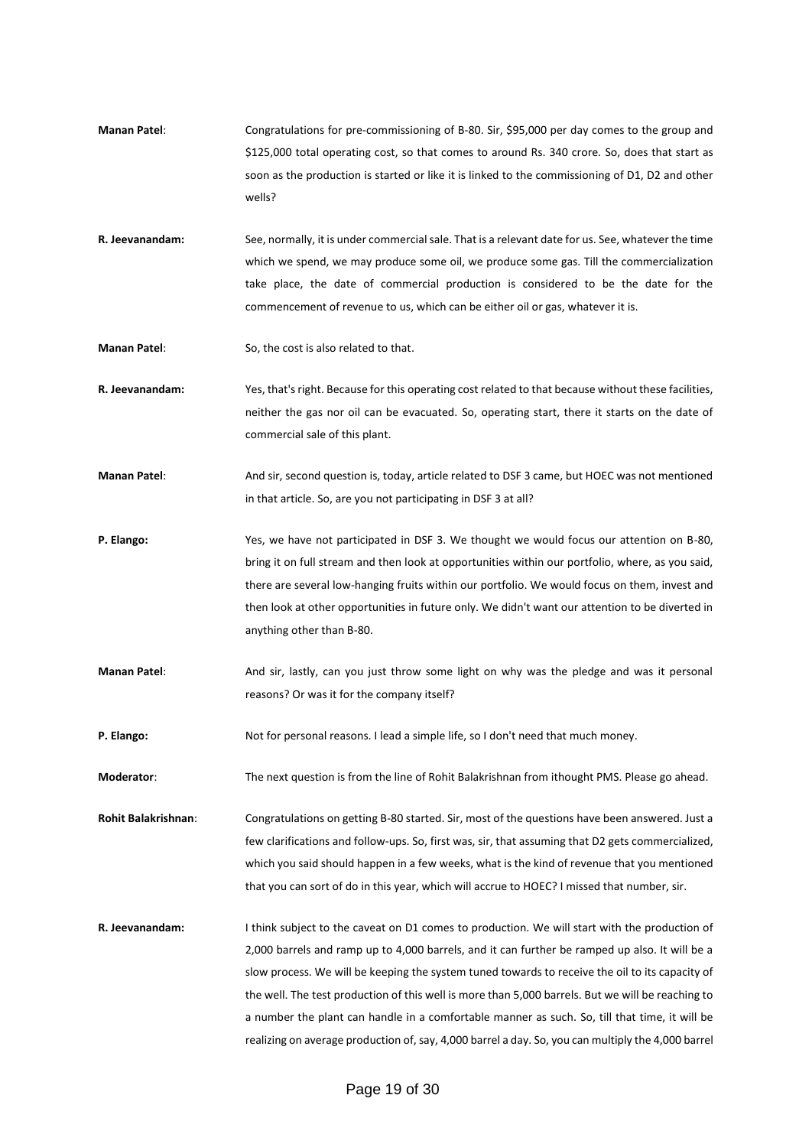- **Manan Patel**: Congratulations for pre-commissioning of B-80. Sir, \$95,000 per day comes to the group and \$125,000 total operating cost, so that comes to around Rs. 340 crore. So, does that start as soon as the production is started or like it is linked to the commissioning of D1, D2 and other wells?
- **R. Jeevanandam:** See, normally, it is under commercial sale. That is a relevant date for us. See, whatever the time which we spend, we may produce some oil, we produce some gas. Till the commercialization take place, the date of commercial production is considered to be the date for the commencement of revenue to us, which can be either oil or gas, whatever it is.
- **Manan Patel**: So, the cost is also related to that.
- **R. Jeevanandam:** Yes, that's right. Because for this operating cost related to that because without these facilities, neither the gas nor oil can be evacuated. So, operating start, there it starts on the date of commercial sale of this plant.
- **Manan Patel**: And sir, second question is, today, article related to DSF 3 came, but HOEC was not mentioned in that article. So, are you not participating in DSF 3 at all?
- **P. Elango:** Yes, we have not participated in DSF 3. We thought we would focus our attention on B-80, bring it on full stream and then look at opportunities within our portfolio, where, as you said, there are several low-hanging fruits within our portfolio. We would focus on them, invest and then look at other opportunities in future only. We didn't want our attention to be diverted in anything other than B-80.
- **Manan Patel**: And sir, lastly, can you just throw some light on why was the pledge and was it personal reasons? Or was it for the company itself?
- **P. Elango:** Not for personal reasons. I lead a simple life, so I don't need that much money.

**Moderator**: The next question is from the line of Rohit Balakrishnan from ithought PMS. Please go ahead.

**Rohit Balakrishnan**: Congratulations on getting B-80 started. Sir, most of the questions have been answered. Just a few clarifications and follow-ups. So, first was, sir, that assuming that D2 gets commercialized, which you said should happen in a few weeks, what is the kind of revenue that you mentioned that you can sort of do in this year, which will accrue to HOEC? I missed that number, sir.

**R. Jeevanandam:** I think subject to the caveat on D1 comes to production. We will start with the production of 2,000 barrels and ramp up to 4,000 barrels, and it can further be ramped up also. It will be a slow process. We will be keeping the system tuned towards to receive the oil to its capacity of the well. The test production of this well is more than 5,000 barrels. But we will be reaching to a number the plant can handle in a comfortable manner as such. So, till that time, it will be realizing on average production of, say, 4,000 barrel a day. So, you can multiply the 4,000 barrel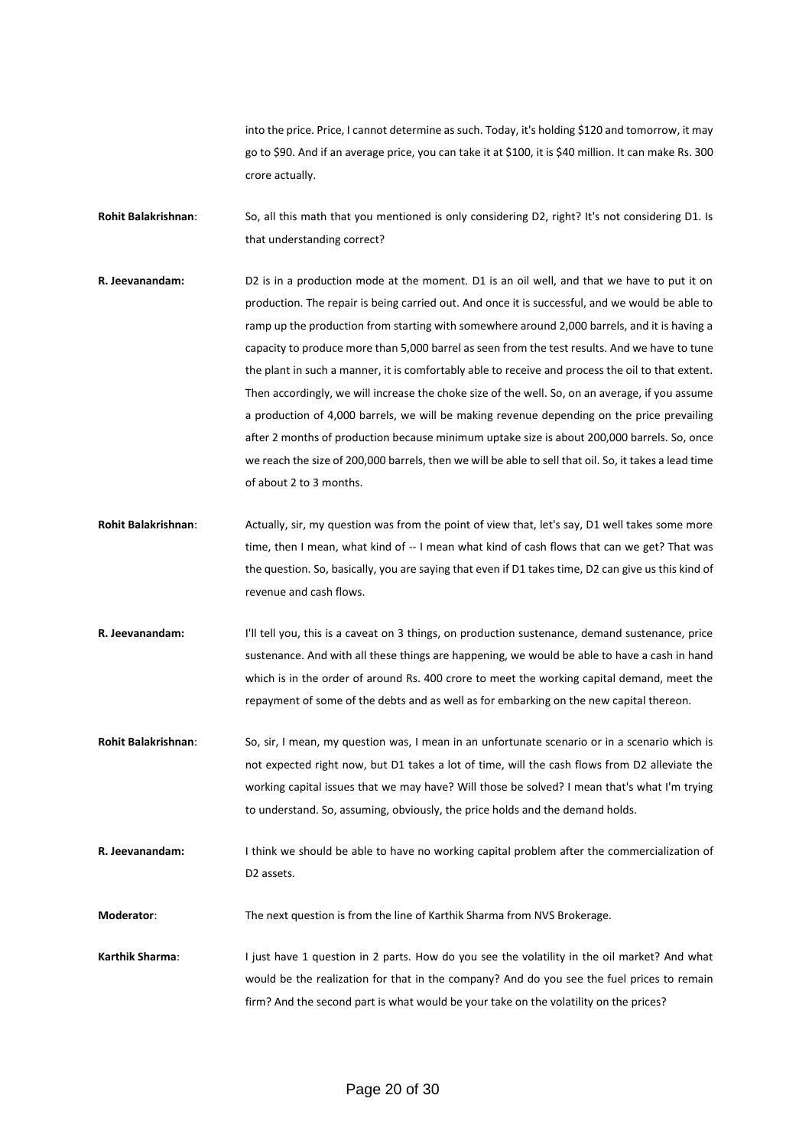into the price. Price, I cannot determine as such. Today, it's holding \$120 and tomorrow, it may go to \$90. And if an average price, you can take it at \$100, it is \$40 million. It can make Rs. 300 crore actually.

- **Rohit Balakrishnan**: So, all this math that you mentioned is only considering D2, right? It's not considering D1. Is that understanding correct?
- **R. Jeevanandam:** D2 is in a production mode at the moment. D1 is an oil well, and that we have to put it on production. The repair is being carried out. And once it is successful, and we would be able to ramp up the production from starting with somewhere around 2,000 barrels, and it is having a capacity to produce more than 5,000 barrel as seen from the test results. And we have to tune the plant in such a manner, it is comfortably able to receive and process the oil to that extent. Then accordingly, we will increase the choke size of the well. So, on an average, if you assume a production of 4,000 barrels, we will be making revenue depending on the price prevailing after 2 months of production because minimum uptake size is about 200,000 barrels. So, once we reach the size of 200,000 barrels, then we will be able to sell that oil. So, it takes a lead time of about 2 to 3 months.
- **Rohit Balakrishnan**: Actually, sir, my question was from the point of view that, let's say, D1 well takes some more time, then I mean, what kind of -- I mean what kind of cash flows that can we get? That was the question. So, basically, you are saying that even if D1 takes time, D2 can give us this kind of revenue and cash flows.
- **R. Jeevanandam:** I'll tell you, this is a caveat on 3 things, on production sustenance, demand sustenance, price sustenance. And with all these things are happening, we would be able to have a cash in hand which is in the order of around Rs. 400 crore to meet the working capital demand, meet the repayment of some of the debts and as well as for embarking on the new capital thereon.
- **Rohit Balakrishnan**: So, sir, I mean, my question was, I mean in an unfortunate scenario or in a scenario which is not expected right now, but D1 takes a lot of time, will the cash flows from D2 alleviate the working capital issues that we may have? Will those be solved? I mean that's what I'm trying to understand. So, assuming, obviously, the price holds and the demand holds.
- **R. Jeevanandam:** I think we should be able to have no working capital problem after the commercialization of D2 assets.

**Moderator**: The next question is from the line of Karthik Sharma from NVS Brokerage.

**Karthik Sharma**: I just have 1 question in 2 parts. How do you see the volatility in the oil market? And what would be the realization for that in the company? And do you see the fuel prices to remain firm? And the second part is what would be your take on the volatility on the prices?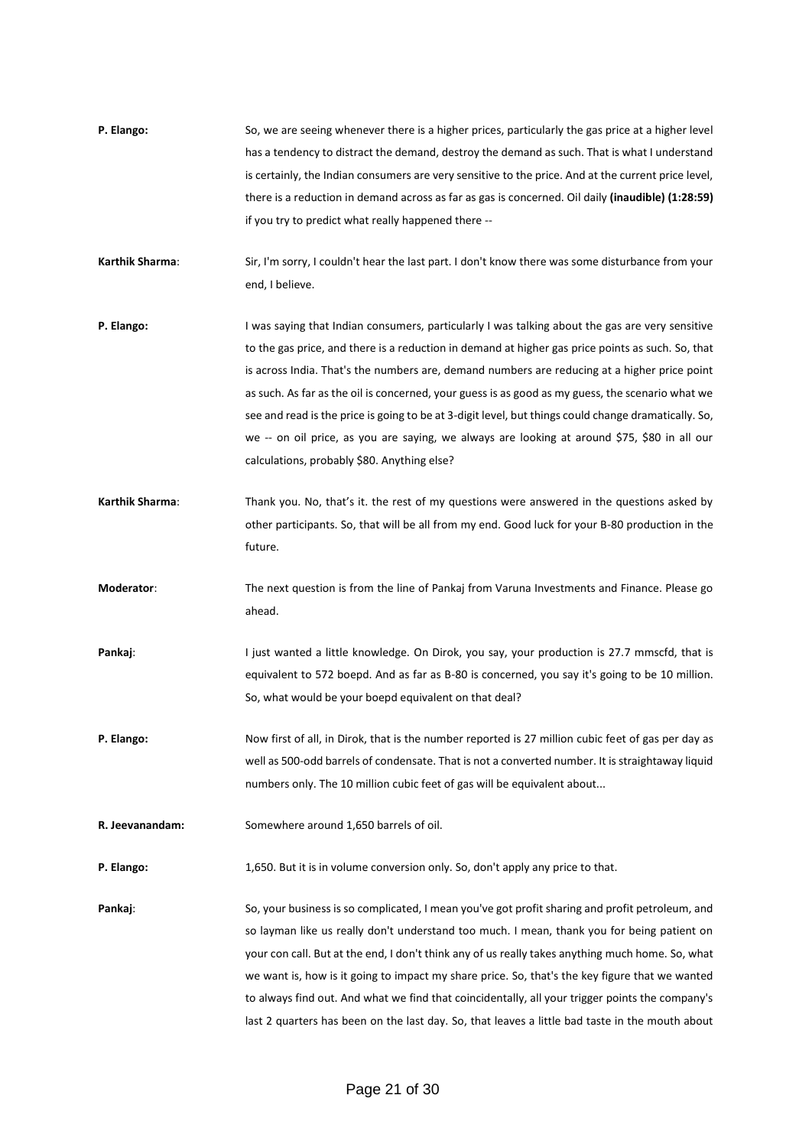| P. Elango:      | So, we are seeing whenever there is a higher prices, particularly the gas price at a higher level<br>has a tendency to distract the demand, destroy the demand as such. That is what I understand<br>is certainly, the Indian consumers are very sensitive to the price. And at the current price level,<br>there is a reduction in demand across as far as gas is concerned. Oil daily (inaudible) (1:28:59)<br>if you try to predict what really happened there --                                                                                                                                                                                            |
|-----------------|-----------------------------------------------------------------------------------------------------------------------------------------------------------------------------------------------------------------------------------------------------------------------------------------------------------------------------------------------------------------------------------------------------------------------------------------------------------------------------------------------------------------------------------------------------------------------------------------------------------------------------------------------------------------|
| Karthik Sharma: | Sir, I'm sorry, I couldn't hear the last part. I don't know there was some disturbance from your<br>end, I believe.                                                                                                                                                                                                                                                                                                                                                                                                                                                                                                                                             |
| P. Elango:      | I was saying that Indian consumers, particularly I was talking about the gas are very sensitive<br>to the gas price, and there is a reduction in demand at higher gas price points as such. So, that<br>is across India. That's the numbers are, demand numbers are reducing at a higher price point<br>as such. As far as the oil is concerned, your guess is as good as my guess, the scenario what we<br>see and read is the price is going to be at 3-digit level, but things could change dramatically. So,<br>we -- on oil price, as you are saying, we always are looking at around \$75, \$80 in all our<br>calculations, probably \$80. Anything else? |
| Karthik Sharma: | Thank you. No, that's it. the rest of my questions were answered in the questions asked by<br>other participants. So, that will be all from my end. Good luck for your B-80 production in the<br>future.                                                                                                                                                                                                                                                                                                                                                                                                                                                        |
| Moderator:      | The next question is from the line of Pankaj from Varuna Investments and Finance. Please go<br>ahead.                                                                                                                                                                                                                                                                                                                                                                                                                                                                                                                                                           |
| Pankaj:         | I just wanted a little knowledge. On Dirok, you say, your production is 27.7 mmscfd, that is<br>equivalent to 572 boepd. And as far as B-80 is concerned, you say it's going to be 10 million.<br>So, what would be your boepd equivalent on that deal?                                                                                                                                                                                                                                                                                                                                                                                                         |
| P. Elango:      | Now first of all, in Dirok, that is the number reported is 27 million cubic feet of gas per day as<br>well as 500-odd barrels of condensate. That is not a converted number. It is straightaway liquid<br>numbers only. The 10 million cubic feet of gas will be equivalent about                                                                                                                                                                                                                                                                                                                                                                               |
| R. Jeevanandam: | Somewhere around 1,650 barrels of oil.                                                                                                                                                                                                                                                                                                                                                                                                                                                                                                                                                                                                                          |
| P. Elango:      | 1,650. But it is in volume conversion only. So, don't apply any price to that.                                                                                                                                                                                                                                                                                                                                                                                                                                                                                                                                                                                  |
| Pankaj:         | So, your business is so complicated, I mean you've got profit sharing and profit petroleum, and<br>so layman like us really don't understand too much. I mean, thank you for being patient on<br>your con call. But at the end, I don't think any of us really takes anything much home. So, what<br>we want is, how is it going to impact my share price. So, that's the key figure that we wanted<br>to always find out. And what we find that coincidentally, all your trigger points the company's<br>last 2 quarters has been on the last day. So, that leaves a little bad taste in the mouth about                                                       |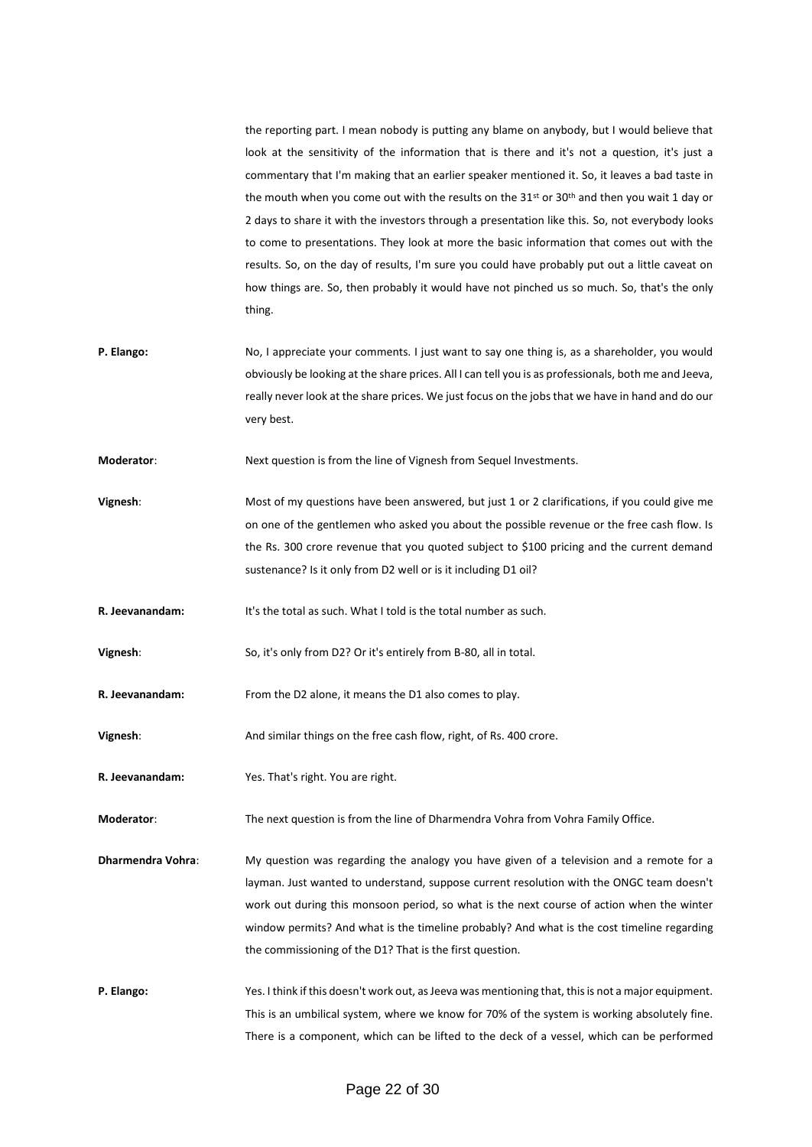the reporting part. I mean nobody is putting any blame on anybody, but I would believe that look at the sensitivity of the information that is there and it's not a question, it's just a commentary that I'm making that an earlier speaker mentioned it. So, it leaves a bad taste in the mouth when you come out with the results on the  $31^{st}$  or  $30^{th}$  and then you wait 1 day or 2 days to share it with the investors through a presentation like this. So, not everybody looks to come to presentations. They look at more the basic information that comes out with the results. So, on the day of results, I'm sure you could have probably put out a little caveat on how things are. So, then probably it would have not pinched us so much. So, that's the only thing.

**P. Elango:** No, I appreciate your comments. I just want to say one thing is, as a shareholder, you would obviously be looking at the share prices. All I can tell you is as professionals, both me and Jeeva, really never look at the share prices. We just focus on the jobs that we have in hand and do our very best.

**Moderator:** Next question is from the line of Vignesh from Sequel Investments.

**Vignesh:** Most of my questions have been answered, but just 1 or 2 clarifications, if you could give me on one of the gentlemen who asked you about the possible revenue or the free cash flow. Is the Rs. 300 crore revenue that you quoted subject to \$100 pricing and the current demand sustenance? Is it only from D2 well or is it including D1 oil?

**R. Jeevanandam:** It's the total as such. What I told is the total number as such.

**Vignesh**: So, it's only from D2? Or it's entirely from B-80, all in total.

**R. Jeevanandam:** From the D2 alone, it means the D1 also comes to play.

**Vignesh**: And similar things on the free cash flow, right, of Rs. 400 crore.

**R. Jeevanandam:** Yes. That's right. You are right.

**Moderator**: The next question is from the line of Dharmendra Vohra from Vohra Family Office.

- **Dharmendra Vohra:** My question was regarding the analogy you have given of a television and a remote for a layman. Just wanted to understand, suppose current resolution with the ONGC team doesn't work out during this monsoon period, so what is the next course of action when the winter window permits? And what is the timeline probably? And what is the cost timeline regarding the commissioning of the D1? That is the first question.
- **P. Elango:** Yes. I think if this doesn't work out, as Jeeva was mentioning that, this is not a major equipment. This is an umbilical system, where we know for 70% of the system is working absolutely fine. There is a component, which can be lifted to the deck of a vessel, which can be performed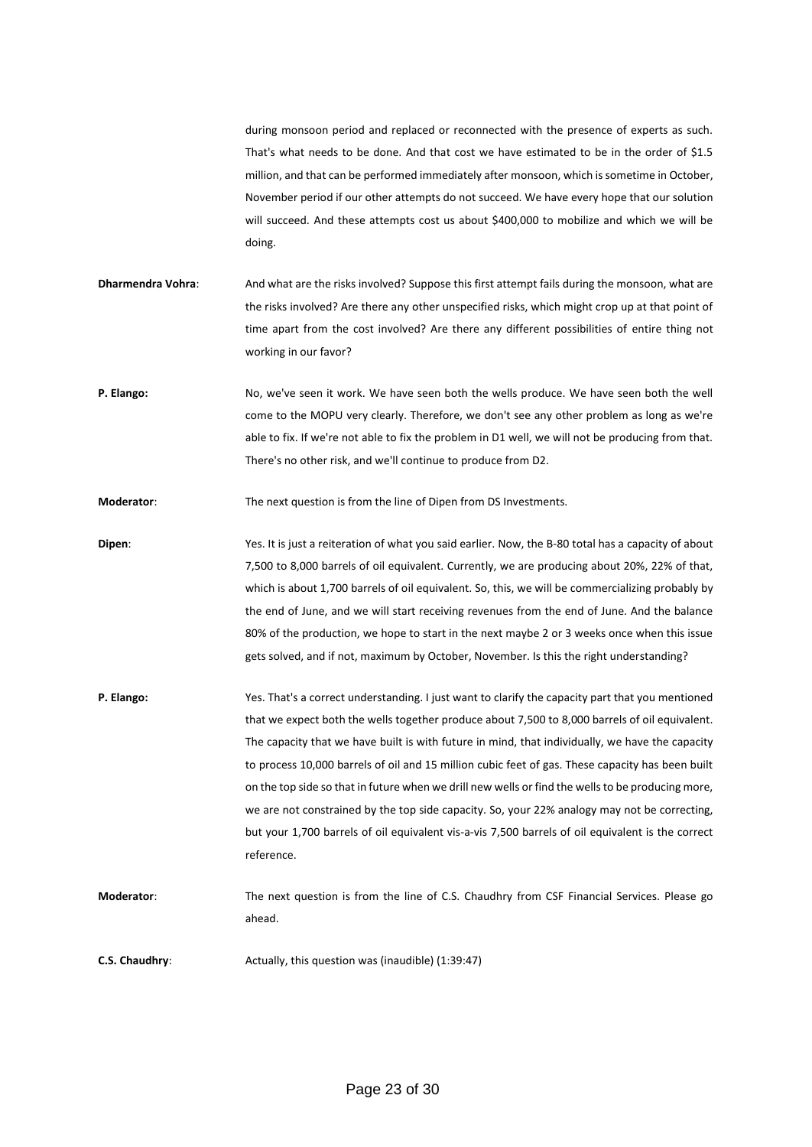during monsoon period and replaced or reconnected with the presence of experts as such. That's what needs to be done. And that cost we have estimated to be in the order of \$1.5 million, and that can be performed immediately after monsoon, which is sometime in October, November period if our other attempts do not succeed. We have every hope that our solution will succeed. And these attempts cost us about \$400,000 to mobilize and which we will be doing.

- **Dharmendra Vohra:** And what are the risks involved? Suppose this first attempt fails during the monsoon, what are the risks involved? Are there any other unspecified risks, which might crop up at that point of time apart from the cost involved? Are there any different possibilities of entire thing not working in our favor?
- **P. Elango:** No, we've seen it work. We have seen both the wells produce. We have seen both the well come to the MOPU very clearly. Therefore, we don't see any other problem as long as we're able to fix. If we're not able to fix the problem in D1 well, we will not be producing from that. There's no other risk, and we'll continue to produce from D2.

**Moderator**: The next question is from the line of Dipen from DS Investments.

**Dipen:** Yes. It is just a reiteration of what you said earlier. Now, the B-80 total has a capacity of about 7,500 to 8,000 barrels of oil equivalent. Currently, we are producing about 20%, 22% of that, which is about 1,700 barrels of oil equivalent. So, this, we will be commercializing probably by the end of June, and we will start receiving revenues from the end of June. And the balance 80% of the production, we hope to start in the next maybe 2 or 3 weeks once when this issue gets solved, and if not, maximum by October, November. Is this the right understanding?

**P. Elango:** Yes. That's a correct understanding. I just want to clarify the capacity part that you mentioned that we expect both the wells together produce about 7,500 to 8,000 barrels of oil equivalent. The capacity that we have built is with future in mind, that individually, we have the capacity to process 10,000 barrels of oil and 15 million cubic feet of gas. These capacity has been built on the top side so that in future when we drill new wells or find the wells to be producing more, we are not constrained by the top side capacity. So, your 22% analogy may not be correcting, but your 1,700 barrels of oil equivalent vis-a-vis 7,500 barrels of oil equivalent is the correct reference.

**Moderator**: The next question is from the line of C.S. Chaudhry from CSF Financial Services. Please go ahead.

**C.S. Chaudhry:** Actually, this question was (inaudible) (1:39:47)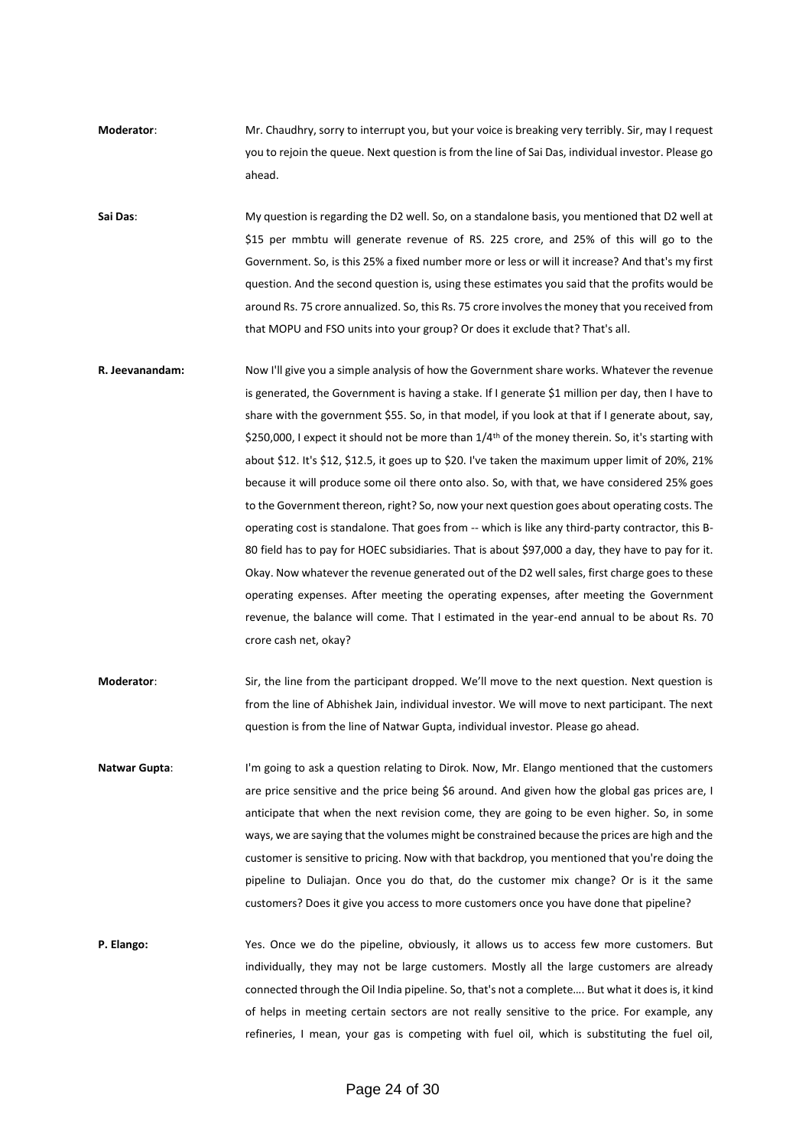**Moderator**: Mr. Chaudhry, sorry to interrupt you, but your voice is breaking very terribly. Sir, may I request you to rejoin the queue. Next question is from the line of Sai Das, individual investor. Please go ahead.

**Sai Das**: My question is regarding the D2 well. So, on a standalone basis, you mentioned that D2 well at \$15 per mmbtu will generate revenue of RS. 225 crore, and 25% of this will go to the Government. So, is this 25% a fixed number more or less or will it increase? And that's my first question. And the second question is, using these estimates you said that the profits would be around Rs. 75 crore annualized. So, this Rs. 75 crore involves the money that you received from that MOPU and FSO units into your group? Or does it exclude that? That's all.

- **R. Jeevanandam:** Now I'll give you a simple analysis of how the Government share works. Whatever the revenue is generated, the Government is having a stake. If I generate \$1 million per day, then I have to share with the government \$55. So, in that model, if you look at that if I generate about, say, \$250,000, I expect it should not be more than 1/4<sup>th</sup> of the money therein. So, it's starting with about \$12. It's \$12, \$12.5, it goes up to \$20. I've taken the maximum upper limit of 20%, 21% because it will produce some oil there onto also. So, with that, we have considered 25% goes to the Government thereon, right? So, now your next question goes about operating costs. The operating cost is standalone. That goes from -- which is like any third-party contractor, this B-80 field has to pay for HOEC subsidiaries. That is about \$97,000 a day, they have to pay for it. Okay. Now whatever the revenue generated out of the D2 well sales, first charge goes to these operating expenses. After meeting the operating expenses, after meeting the Government revenue, the balance will come. That I estimated in the year-end annual to be about Rs. 70 crore cash net, okay?
- **Moderator**: Sir, the line from the participant dropped. We'll move to the next question. Next question is from the line of Abhishek Jain, individual investor. We will move to next participant. The next question is from the line of Natwar Gupta, individual investor. Please go ahead.
- **Natwar Gupta**: I'm going to ask a question relating to Dirok. Now, Mr. Elango mentioned that the customers are price sensitive and the price being \$6 around. And given how the global gas prices are, I anticipate that when the next revision come, they are going to be even higher. So, in some ways, we are saying that the volumes might be constrained because the prices are high and the customer is sensitive to pricing. Now with that backdrop, you mentioned that you're doing the pipeline to Duliajan. Once you do that, do the customer mix change? Or is it the same customers? Does it give you access to more customers once you have done that pipeline?
- **P. Elango:** Yes. Once we do the pipeline, obviously, it allows us to access few more customers. But individually, they may not be large customers. Mostly all the large customers are already connected through the Oil India pipeline. So, that's not a complete…. But what it does is, it kind of helps in meeting certain sectors are not really sensitive to the price. For example, any refineries, I mean, your gas is competing with fuel oil, which is substituting the fuel oil,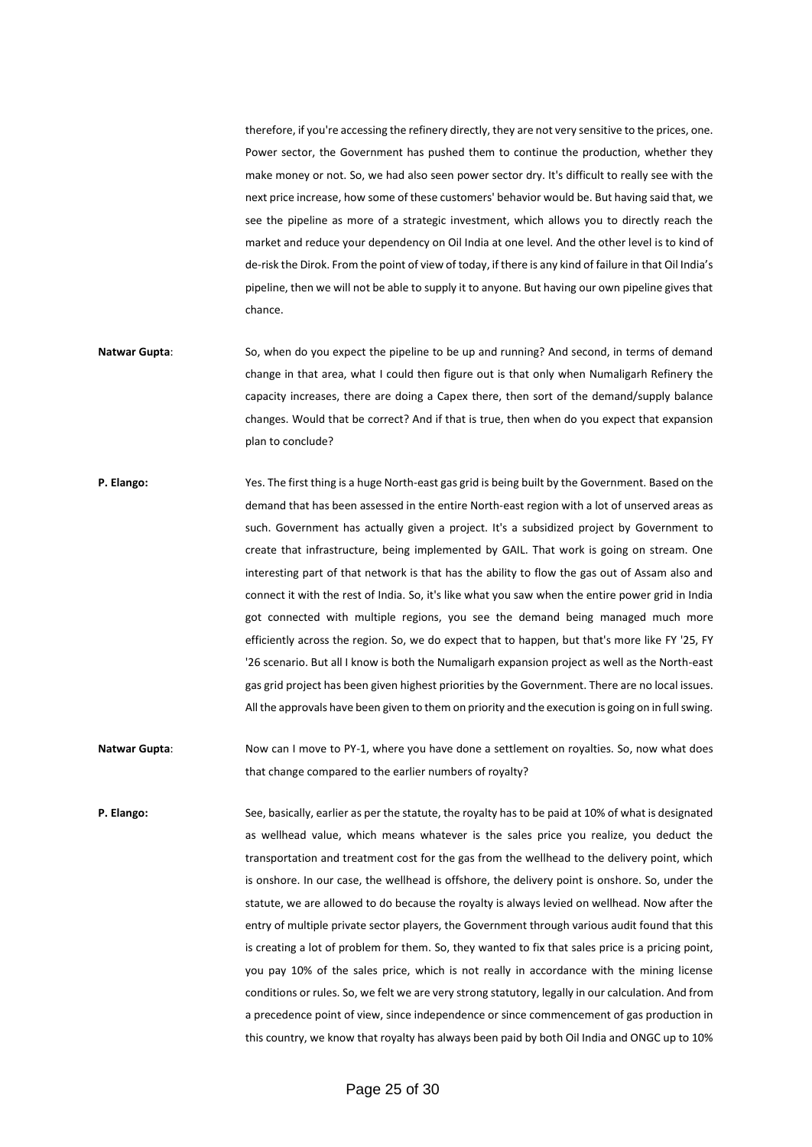therefore, if you're accessing the refinery directly, they are not very sensitive to the prices, one. Power sector, the Government has pushed them to continue the production, whether they make money or not. So, we had also seen power sector dry. It's difficult to really see with the next price increase, how some of these customers' behavior would be. But having said that, we see the pipeline as more of a strategic investment, which allows you to directly reach the market and reduce your dependency on Oil India at one level. And the other level is to kind of de-risk the Dirok. From the point of view of today, if there is any kind of failure in that Oil India's pipeline, then we will not be able to supply it to anyone. But having our own pipeline gives that chance.

- **Natwar Gupta**: So, when do you expect the pipeline to be up and running? And second, in terms of demand change in that area, what I could then figure out is that only when Numaligarh Refinery the capacity increases, there are doing a Capex there, then sort of the demand/supply balance changes. Would that be correct? And if that is true, then when do you expect that expansion plan to conclude?
- **P. Elango:** Yes. The first thing is a huge North-east gas grid is being built by the Government. Based on the demand that has been assessed in the entire North-east region with a lot of unserved areas as such. Government has actually given a project. It's a subsidized project by Government to create that infrastructure, being implemented by GAIL. That work is going on stream. One interesting part of that network is that has the ability to flow the gas out of Assam also and connect it with the rest of India. So, it's like what you saw when the entire power grid in India got connected with multiple regions, you see the demand being managed much more efficiently across the region. So, we do expect that to happen, but that's more like FY '25, FY '26 scenario. But all I know is both the Numaligarh expansion project as well as the North-east gas grid project has been given highest priorities by the Government. There are no local issues. All the approvals have been given to them on priority and the execution is going on in full swing.
- Natwar Gupta: Now can I move to PY-1, where you have done a settlement on royalties. So, now what does that change compared to the earlier numbers of royalty?
- **P. Elango:** See, basically, earlier as per the statute, the royalty has to be paid at 10% of what is designated as wellhead value, which means whatever is the sales price you realize, you deduct the transportation and treatment cost for the gas from the wellhead to the delivery point, which is onshore. In our case, the wellhead is offshore, the delivery point is onshore. So, under the statute, we are allowed to do because the royalty is always levied on wellhead. Now after the entry of multiple private sector players, the Government through various audit found that this is creating a lot of problem for them. So, they wanted to fix that sales price is a pricing point, you pay 10% of the sales price, which is not really in accordance with the mining license conditions or rules. So, we felt we are very strong statutory, legally in our calculation. And from a precedence point of view, since independence or since commencement of gas production in this country, we know that royalty has always been paid by both Oil India and ONGC up to 10%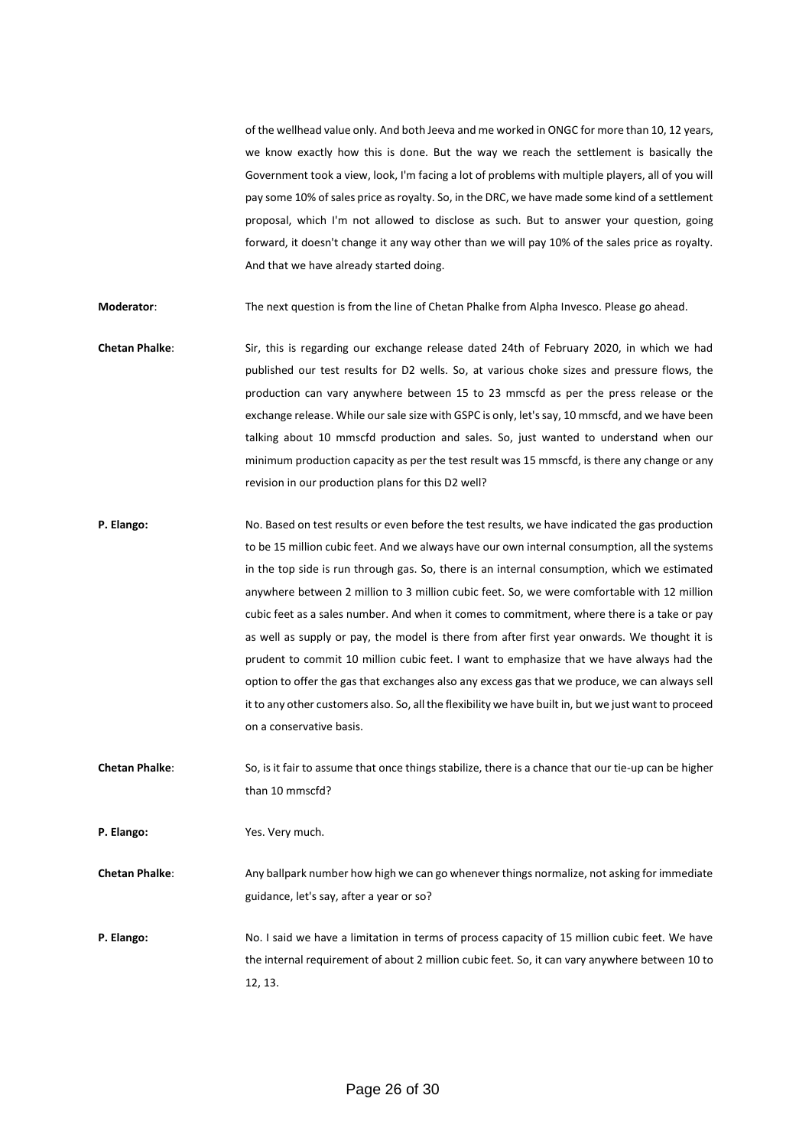of the wellhead value only. And both Jeeva and me worked in ONGC for more than 10, 12 years, we know exactly how this is done. But the way we reach the settlement is basically the Government took a view, look, I'm facing a lot of problems with multiple players, all of you will pay some 10% of sales price as royalty. So, in the DRC, we have made some kind of a settlement proposal, which I'm not allowed to disclose as such. But to answer your question, going forward, it doesn't change it any way other than we will pay 10% of the sales price as royalty. And that we have already started doing.

**Moderator**: The next question is from the line of Chetan Phalke from Alpha Invesco. Please go ahead.

- **Chetan Phalke**: Sir, this is regarding our exchange release dated 24th of February 2020, in which we had published our test results for D2 wells. So, at various choke sizes and pressure flows, the production can vary anywhere between 15 to 23 mmscfd as per the press release or the exchange release. While our sale size with GSPC is only, let's say, 10 mmscfd, and we have been talking about 10 mmscfd production and sales. So, just wanted to understand when our minimum production capacity as per the test result was 15 mmscfd, is there any change or any revision in our production plans for this D2 well?
- **P. Elango:** No. Based on test results or even before the test results, we have indicated the gas production to be 15 million cubic feet. And we always have our own internal consumption, all the systems in the top side is run through gas. So, there is an internal consumption, which we estimated anywhere between 2 million to 3 million cubic feet. So, we were comfortable with 12 million cubic feet as a sales number. And when it comes to commitment, where there is a take or pay as well as supply or pay, the model is there from after first year onwards. We thought it is prudent to commit 10 million cubic feet. I want to emphasize that we have always had the option to offer the gas that exchanges also any excess gas that we produce, we can always sell it to any other customers also. So, all the flexibility we have built in, but we just want to proceed on a conservative basis.
- **Chetan Phalke**: So, is it fair to assume that once things stabilize, there is a chance that our tie-up can be higher than 10 mmscfd?

**P. Elango:** Yes. Very much.

**Chetan Phalke**: Any ballpark number how high we can go whenever things normalize, not asking for immediate guidance, let's say, after a year or so?

**P. Elango:** No. I said we have a limitation in terms of process capacity of 15 million cubic feet. We have the internal requirement of about 2 million cubic feet. So, it can vary anywhere between 10 to 12, 13.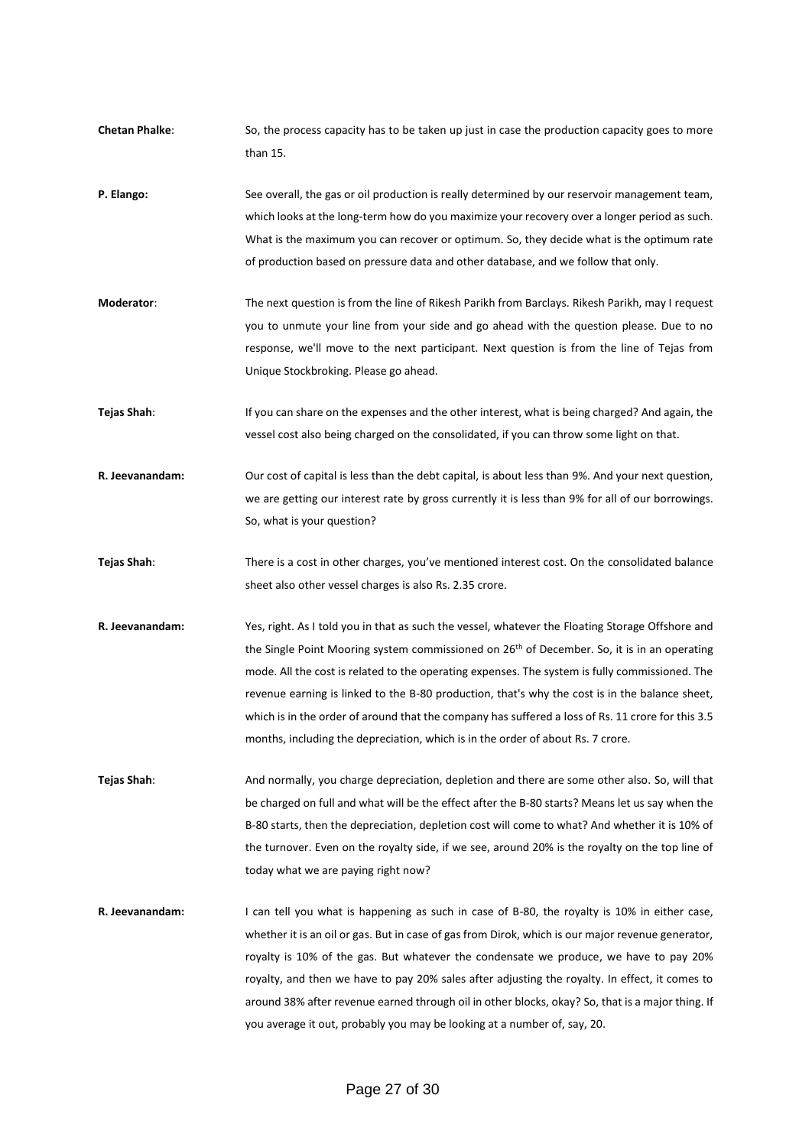- **Chetan Phalke**: So, the process capacity has to be taken up just in case the production capacity goes to more than 15.
- **P. Elango:** See overall, the gas or oil production is really determined by our reservoir management team, which looks at the long-term how do you maximize your recovery over a longer period as such. What is the maximum you can recover or optimum. So, they decide what is the optimum rate of production based on pressure data and other database, and we follow that only.
- **Moderator**: The next question is from the line of Rikesh Parikh from Barclays. Rikesh Parikh, may I request you to unmute your line from your side and go ahead with the question please. Due to no response, we'll move to the next participant. Next question is from the line of Tejas from Unique Stockbroking. Please go ahead.
- **Tejas Shah**: If you can share on the expenses and the other interest, what is being charged? And again, the vessel cost also being charged on the consolidated, if you can throw some light on that.
- **R. Jeevanandam:** Our cost of capital is less than the debt capital, is about less than 9%. And your next question, we are getting our interest rate by gross currently it is less than 9% for all of our borrowings. So, what is your question?
- **Tejas Shah**: There is a cost in other charges, you've mentioned interest cost. On the consolidated balance sheet also other vessel charges is also Rs. 2.35 crore.
- **R. Jeevanandam:** Yes, right. As I told you in that as such the vessel, whatever the Floating Storage Offshore and the Single Point Mooring system commissioned on 26<sup>th</sup> of December. So, it is in an operating mode. All the cost is related to the operating expenses. The system is fully commissioned. The revenue earning is linked to the B-80 production, that's why the cost is in the balance sheet, which is in the order of around that the company has suffered a loss of Rs. 11 crore for this 3.5 months, including the depreciation, which is in the order of about Rs. 7 crore.
- **Tejas Shah**: And normally, you charge depreciation, depletion and there are some other also. So, will that be charged on full and what will be the effect after the B-80 starts? Means let us say when the B-80 starts, then the depreciation, depletion cost will come to what? And whether it is 10% of the turnover. Even on the royalty side, if we see, around 20% is the royalty on the top line of today what we are paying right now?
- **R. Jeevanandam:** I can tell you what is happening as such in case of B-80, the royalty is 10% in either case, whether it is an oil or gas. But in case of gas from Dirok, which is our major revenue generator, royalty is 10% of the gas. But whatever the condensate we produce, we have to pay 20% royalty, and then we have to pay 20% sales after adjusting the royalty. In effect, it comes to around 38% after revenue earned through oil in other blocks, okay? So, that is a major thing. If you average it out, probably you may be looking at a number of, say, 20.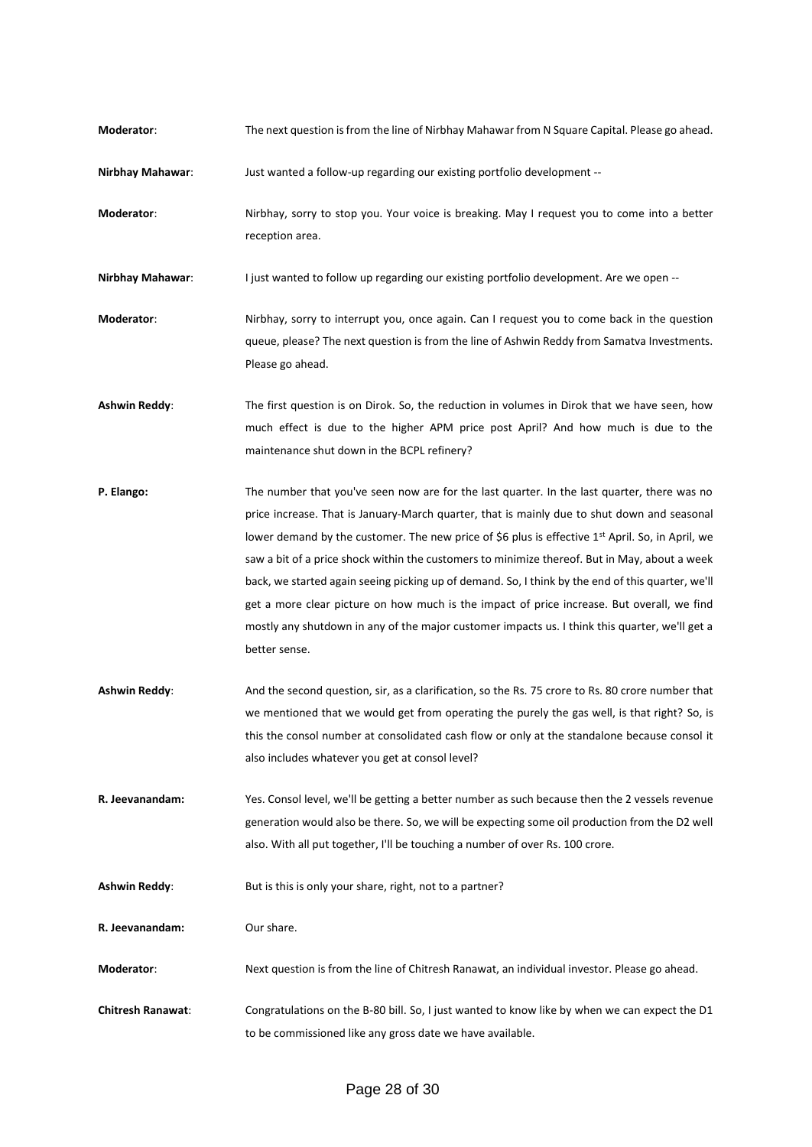**Moderator**: The next question is from the line of Nirbhay Mahawar from N Square Capital. Please go ahead.

**Nirbhay Mahawar**: Just wanted a follow-up regarding our existing portfolio development --

**Moderator**: Nirbhay, sorry to stop you. Your voice is breaking. May I request you to come into a better reception area.

**Nirbhay Mahawar:** I just wanted to follow up regarding our existing portfolio development. Are we open --

- **Moderator**: Nirbhay, sorry to interrupt you, once again. Can I request you to come back in the question queue, please? The next question is from the line of Ashwin Reddy from Samatva Investments. Please go ahead.
- **Ashwin Reddy**: The first question is on Dirok. So, the reduction in volumes in Dirok that we have seen, how much effect is due to the higher APM price post April? And how much is due to the maintenance shut down in the BCPL refinery?
- **P. Elango:** The number that you've seen now are for the last quarter. In the last quarter, there was no price increase. That is January-March quarter, that is mainly due to shut down and seasonal lower demand by the customer. The new price of \$6 plus is effective 1<sup>st</sup> April. So, in April, we saw a bit of a price shock within the customers to minimize thereof. But in May, about a week back, we started again seeing picking up of demand. So, I think by the end of this quarter, we'll get a more clear picture on how much is the impact of price increase. But overall, we find mostly any shutdown in any of the major customer impacts us. I think this quarter, we'll get a better sense.
- **Ashwin Reddy**: And the second question, sir, as a clarification, so the Rs. 75 crore to Rs. 80 crore number that we mentioned that we would get from operating the purely the gas well, is that right? So, is this the consol number at consolidated cash flow or only at the standalone because consol it also includes whatever you get at consol level?
- **R. Jeevanandam:** Yes. Consol level, we'll be getting a better number as such because then the 2 vessels revenue generation would also be there. So, we will be expecting some oil production from the D2 well also. With all put together, I'll be touching a number of over Rs. 100 crore.
- Ashwin Reddy: But is this is only your share, right, not to a partner?
- **R. Jeevanandam:** Our share.
- **Moderator**: Next question is from the line of Chitresh Ranawat, an individual investor. Please go ahead.
- **Chitresh Ranawat**: Congratulations on the B-80 bill. So, I just wanted to know like by when we can expect the D1 to be commissioned like any gross date we have available.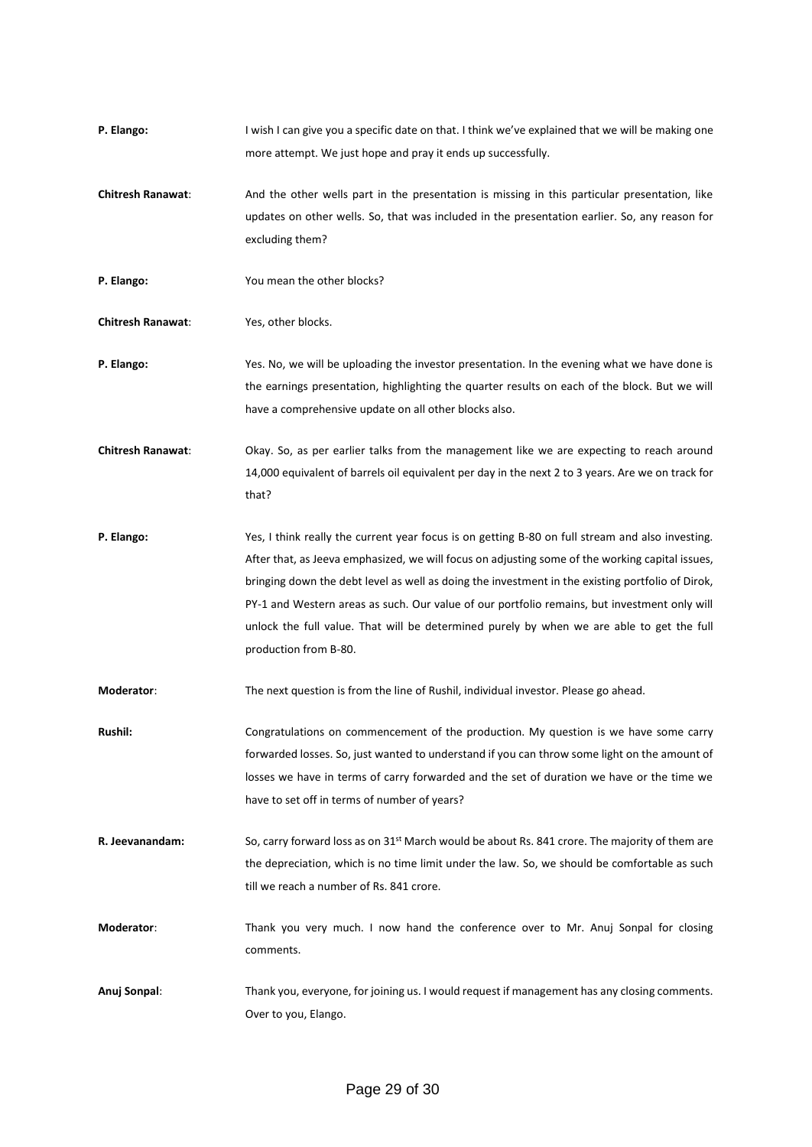- **P. Elango:** I wish I can give you a specific date on that. I think we've explained that we will be making one more attempt. We just hope and pray it ends up successfully.
- **Chitresh Ranawat**: And the other wells part in the presentation is missing in this particular presentation, like updates on other wells. So, that was included in the presentation earlier. So, any reason for excluding them?
- **P. Elango:** You mean the other blocks?

**Chitresh Ranawat**: Yes, other blocks.

- **P. Elango:** Yes. No, we will be uploading the investor presentation. In the evening what we have done is the earnings presentation, highlighting the quarter results on each of the block. But we will have a comprehensive update on all other blocks also.
- **Chitresh Ranawat**: Okay. So, as per earlier talks from the management like we are expecting to reach around 14,000 equivalent of barrels oil equivalent per day in the next 2 to 3 years. Are we on track for that?
- **P. Elango:** Yes, I think really the current year focus is on getting B-80 on full stream and also investing. After that, as Jeeva emphasized, we will focus on adjusting some of the working capital issues, bringing down the debt level as well as doing the investment in the existing portfolio of Dirok, PY-1 and Western areas as such. Our value of our portfolio remains, but investment only will unlock the full value. That will be determined purely by when we are able to get the full production from B-80.

**Moderator**: The next question is from the line of Rushil, individual investor. Please go ahead.

**Rushil:** Congratulations on commencement of the production. My question is we have some carry forwarded losses. So, just wanted to understand if you can throw some light on the amount of losses we have in terms of carry forwarded and the set of duration we have or the time we have to set off in terms of number of years?

**R. Jeevanandam:** So, carry forward loss as on 31<sup>st</sup> March would be about Rs. 841 crore. The majority of them are the depreciation, which is no time limit under the law. So, we should be comfortable as such till we reach a number of Rs. 841 crore.

**Moderator**: Thank you very much. I now hand the conference over to Mr. Anuj Sonpal for closing comments.

**Anuj Sonpal**: Thank you, everyone, for joining us. I would request if management has any closing comments. Over to you, Elango.